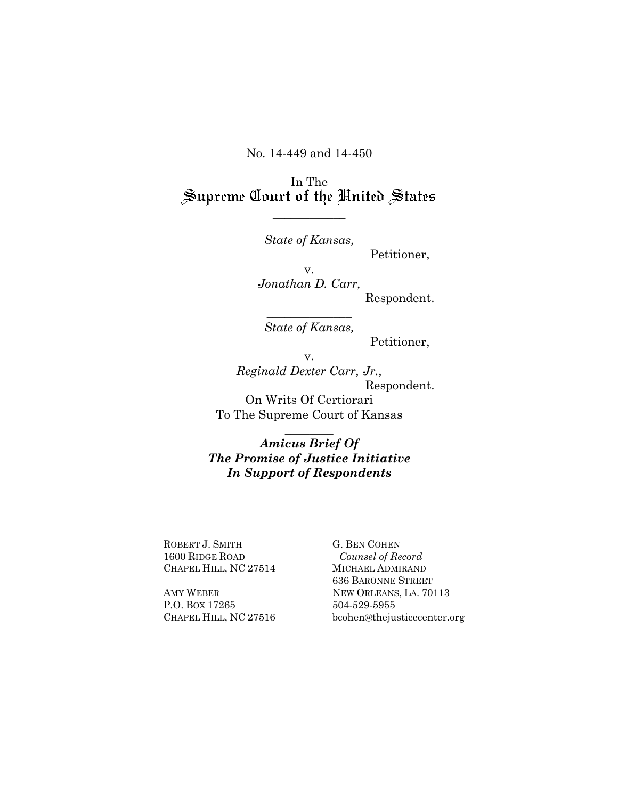No. 14-449 and 14-450

In The<br>Supreme Court of the United States

*\_\_\_\_\_\_\_\_\_\_\_\_*

*State of Kansas,* 

Petitioner,

v. *Jonathan D. Carr,* Respondent.

 $\frac{1}{2}$ *State of Kansas,* 

Petitioner,

v.

*Reginald Dexter Carr, Jr.,* Respondent. On Writs Of Certiorari To The Supreme Court of Kansas

*Amicus Brief Of The Promise of Justice Initiative In Support of Respondents*

 $\overline{\phantom{a}}$ 

ROBERT J. SMITH 1600 RIDGE ROAD CHAPEL HILL, NC 27514

AMY WEBER P.O. BOX 17265 CHAPEL HILL, NC 27516 G. BEN COHEN *Counsel of Record* MICHAEL ADMIRAND 636 BARONNE STREET NEW ORLEANS, LA. 70113 504-529-5955 bcohen@thejusticecenter.org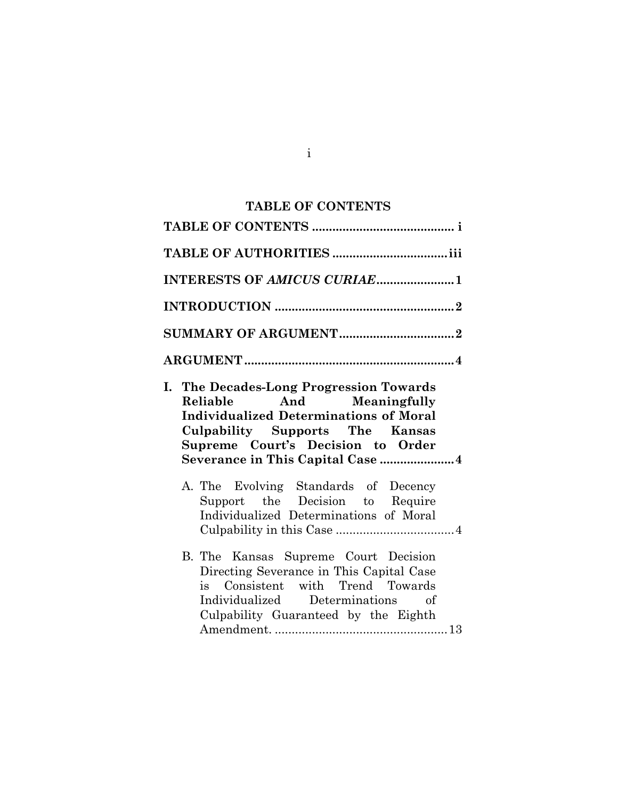## **TABLE OF CONTENTS**

<span id="page-1-0"></span>

| INTERESTS OF AMICUS CURIAE1                                                                                                                                                                                                              |
|------------------------------------------------------------------------------------------------------------------------------------------------------------------------------------------------------------------------------------------|
|                                                                                                                                                                                                                                          |
|                                                                                                                                                                                                                                          |
|                                                                                                                                                                                                                                          |
| I. The Decades-Long Progression Towards<br>Reliable And Meaningfully<br><b>Individualized Determinations of Moral</b><br><b>Culpability Supports The Kansas</b><br>Supreme Court's Decision to Order<br>Severance in This Capital Case 4 |
| A. The Evolving Standards of Decency<br>Support the Decision to Require<br>Individualized Determinations of Moral                                                                                                                        |
| B. The Kansas Supreme Court Decision<br>Directing Severance in This Capital Case<br>is Consistent with Trend Towards<br>Individualized Determinations of<br>Culpability Guaranteed by the Eighth                                         |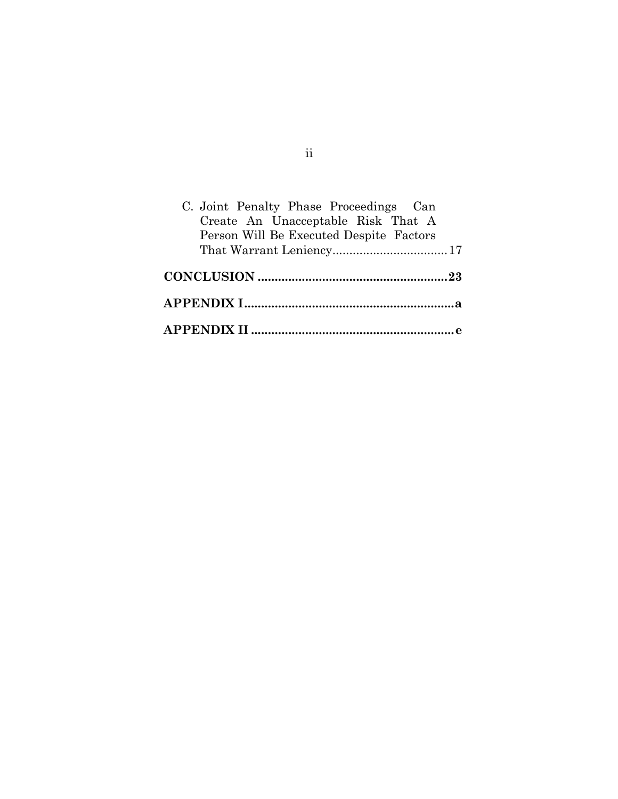| C. Joint Penalty Phase Proceedings Can<br>Create An Unacceptable Risk That A |
|------------------------------------------------------------------------------|
| Person Will Be Executed Despite Factors                                      |
|                                                                              |
|                                                                              |
|                                                                              |
|                                                                              |

# ii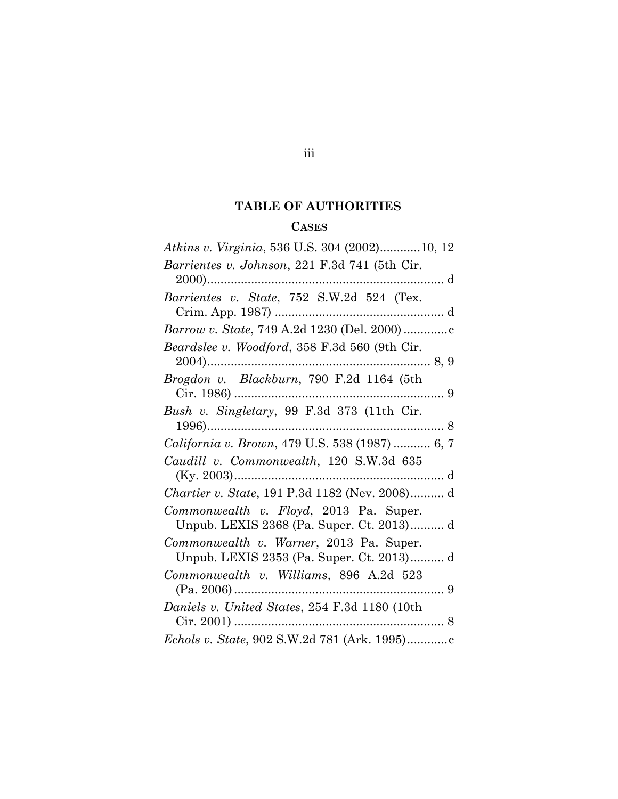# **TABLE OF AUTHORITIES**

### **CASES**

<span id="page-3-0"></span>

| Atkins v. Virginia, 536 U.S. 304 (2002)10, 12                                        |
|--------------------------------------------------------------------------------------|
| Barrientes v. Johnson, 221 F.3d 741 (5th Cir.                                        |
| Barrientes v. State, 752 S.W.2d 524 (Tex.                                            |
|                                                                                      |
| Beardslee v. Woodford, 358 F.3d 560 (9th Cir.                                        |
| Brogdon v. Blackburn, 790 F.2d 1164 (5th                                             |
| Bush v. Singletary, 99 F.3d 373 (11th Cir.                                           |
| <i>California v. Brown, 479 U.S. 538 (1987) </i> 6, 7                                |
| Caudill v. Commonwealth, 120 S.W.3d 635                                              |
| Chartier v. State, 191 P.3d 1182 (Nev. 2008) d                                       |
| Commonwealth v. Floyd, 2013 Pa. Super.<br>Unpub. LEXIS 2368 (Pa. Super. Ct. 2013) d  |
| Commonwealth v. Warner, 2013 Pa. Super.<br>Unpub. LEXIS 2353 (Pa. Super. Ct. 2013) d |
| Commonwealth v. Williams, 896 A.2d 523                                               |
| Daniels v. United States, 254 F.3d 1180 (10th                                        |
|                                                                                      |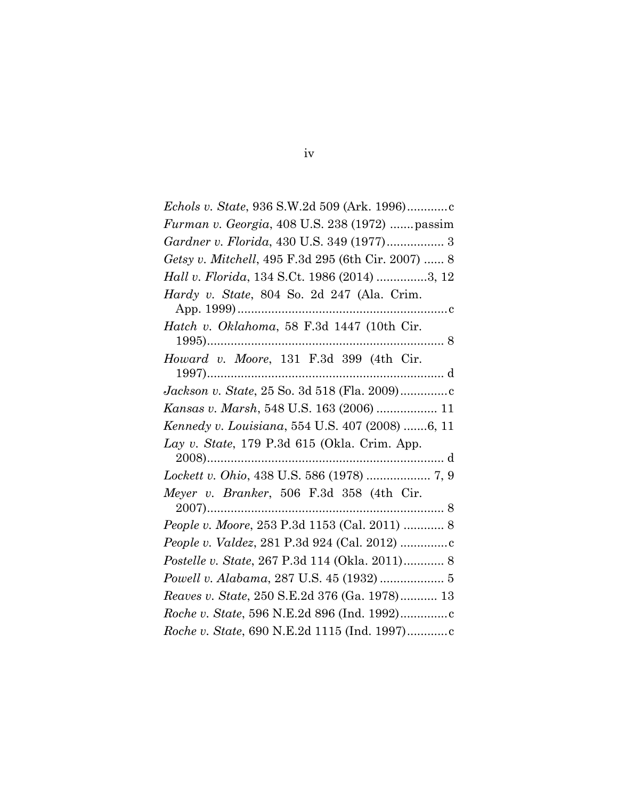| Furman v. Georgia, 408 U.S. 238 (1972)  passim       |
|------------------------------------------------------|
| Gardner v. Florida, 430 U.S. 349 (1977) 3            |
| Getsy v. Mitchell, 495 F.3d 295 (6th Cir. 2007)  8   |
| Hall v. Florida, 134 S.Ct. 1986 (2014) 3, 12         |
| Hardy v. State, 804 So. 2d 247 (Ala. Crim.           |
|                                                      |
| Hatch v. Oklahoma, 58 F.3d 1447 (10th Cir.           |
|                                                      |
| Howard v. Moore, 131 F.3d 399 (4th Cir.              |
|                                                      |
| Jackson v. State, 25 So. 3d 518 (Fla. 2009)          |
| Kansas v. Marsh, 548 U.S. 163 (2006)  11             |
|                                                      |
| Kennedy v. Louisiana, 554 U.S. 407 (2008) 6, 11      |
| Lay v. State, 179 P.3d 615 (Okla. Crim. App.         |
|                                                      |
| Lockett v. Ohio, 438 U.S. 586 (1978)  7, 9           |
| Meyer v. Branker, 506 F.3d 358 (4th Cir.             |
|                                                      |
| <i>People v. Moore, 253 P.3d 1153 (Cal. 2011) </i> 8 |
|                                                      |
| Postelle v. State, 267 P.3d 114 (Okla. 2011) 8       |
|                                                      |
| Reaves v. State, 250 S.E.2d 376 (Ga. 1978) 13        |
|                                                      |
|                                                      |

# iv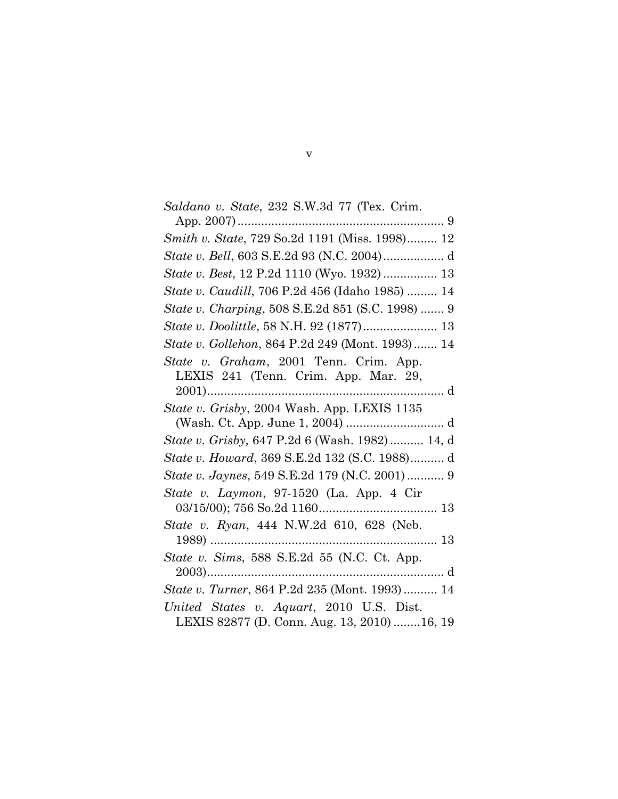| Saldano v. State, 232 S.W.3d 77 (Tex. Crim.                                             |
|-----------------------------------------------------------------------------------------|
|                                                                                         |
| <i>Smith v. State, 729 So.2d 1191 (Miss. 1998)</i> 12                                   |
|                                                                                         |
| <i>State v. Best, 12 P.2d 1110 (Wyo. 1932) </i> 13                                      |
| State v. Caudill, 706 P.2d 456 (Idaho 1985)  14                                         |
| State v. Charping, 508 S.E.2d 851 (S.C. 1998)  9                                        |
|                                                                                         |
| State v. Gollehon, 864 P.2d 249 (Mont. 1993) 14                                         |
| State v. Graham, 2001 Tenn. Crim. App.<br>LEXIS 241 (Tenn. Crim. App. Mar. 29,          |
| State v. Grisby, 2004 Wash. App. LEXIS 1135                                             |
|                                                                                         |
| State v. Grisby, 647 P.2d 6 (Wash. 1982) 14, d                                          |
| State v. Howard, 369 S.E.2d 132 (S.C. 1988) d                                           |
| State v. Jaynes, 549 S.E.2d 179 (N.C. 2001)  9                                          |
| State v. Laymon, 97-1520 (La. App. 4 Cir                                                |
| State v. Ryan, 444 N.W.2d 610, 628 (Neb.                                                |
| State v. Sims, 588 S.E.2d 55 (N.C. Ct. App.                                             |
| State v. Turner, 864 P.2d 235 (Mont. 1993) 14                                           |
| United States v. Aquart, 2010 U.S. Dist.<br>LEXIS 82877 (D. Conn. Aug. 13, 2010) 16, 19 |

v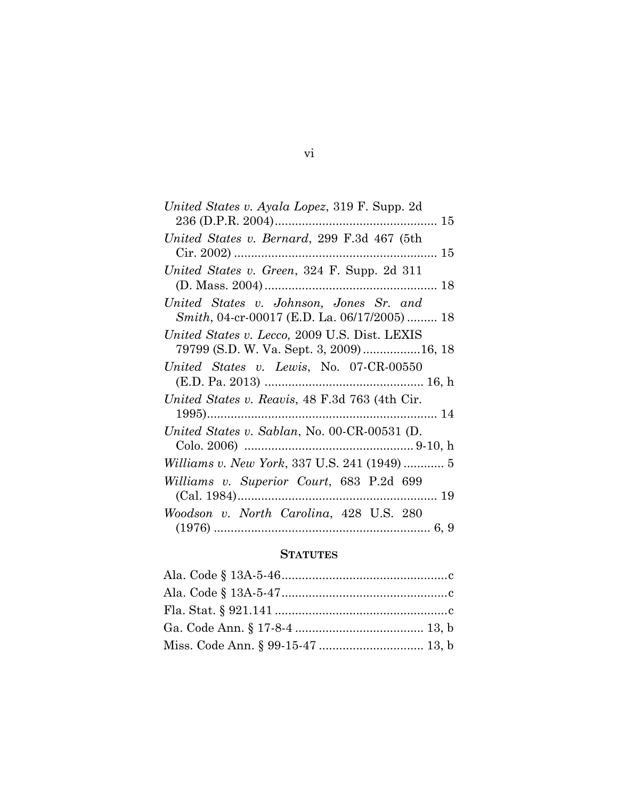| United States v. Ayala Lopez, 319 F. Supp. 2d        |
|------------------------------------------------------|
|                                                      |
| United States v. Bernard, 299 F.3d 467 (5th          |
|                                                      |
| United States v. Green, 324 F. Supp. 2d 311          |
|                                                      |
| United States v. Johnson, Jones Sr. and              |
| <i>Smith</i> , 04-cr-00017 (E.D. La. 06/17/2005)  18 |
| United States v. Lecco, 2009 U.S. Dist. LEXIS        |
| 79799 (S.D. W. Va. Sept. 3, 2009)16, 18              |
| United States v. Lewis, No. 07-CR-00550              |
|                                                      |
| United States v. Reavis, 48 F.3d 763 (4th Cir.       |
|                                                      |
| United States v. Sablan, No. 00-CR-00531 (D.         |
|                                                      |
| <i>Williams v. New York, 337 U.S. 241 (1949) </i> 5  |
| Williams v. Superior Court, 683 P.2d 699             |
|                                                      |
| Woodson v. North Carolina, 428 U.S. 280              |
|                                                      |

### **STATUTES**

vi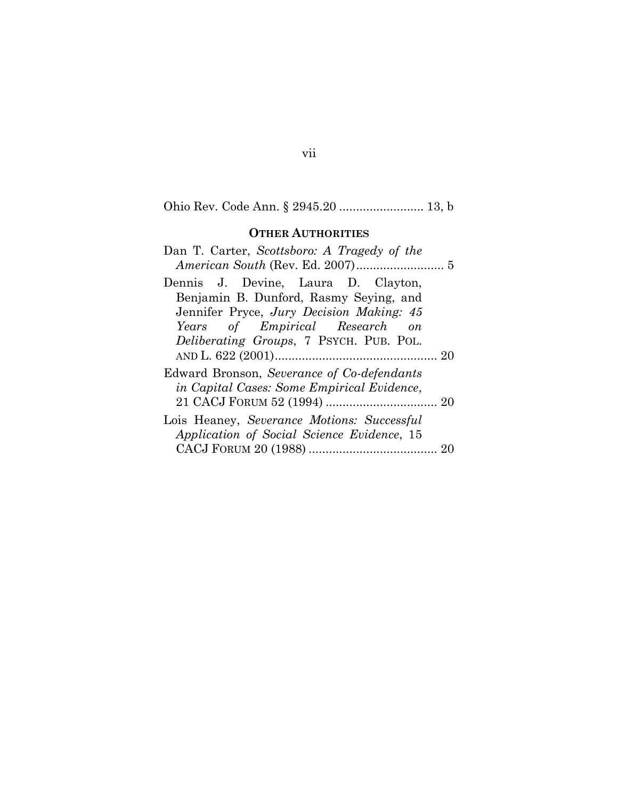# Ohio Rev. Code Ann. § 2945.20 ......................... 13, b

### **OTHER AUTHORITIES**

| Dan T. Carter, Scottsboro: A Tragedy of the     |
|-------------------------------------------------|
|                                                 |
| Dennis J. Devine, Laura D. Clayton,             |
| Benjamin B. Dunford, Rasmy Seying, and          |
| Jennifer Pryce, Jury Decision Making: 45        |
| Years of Empirical Research<br>$\overline{on}$  |
| <i>Deliberating Groups</i> , 7 PSYCH. PUB. POL. |
|                                                 |
| Edward Bronson, Severance of Co-defendants      |
| in Capital Cases: Some Empirical Evidence,      |
|                                                 |
| Lois Heaney, Severance Motions: Successful      |
| Application of Social Science Evidence, 15      |
|                                                 |
|                                                 |

# vii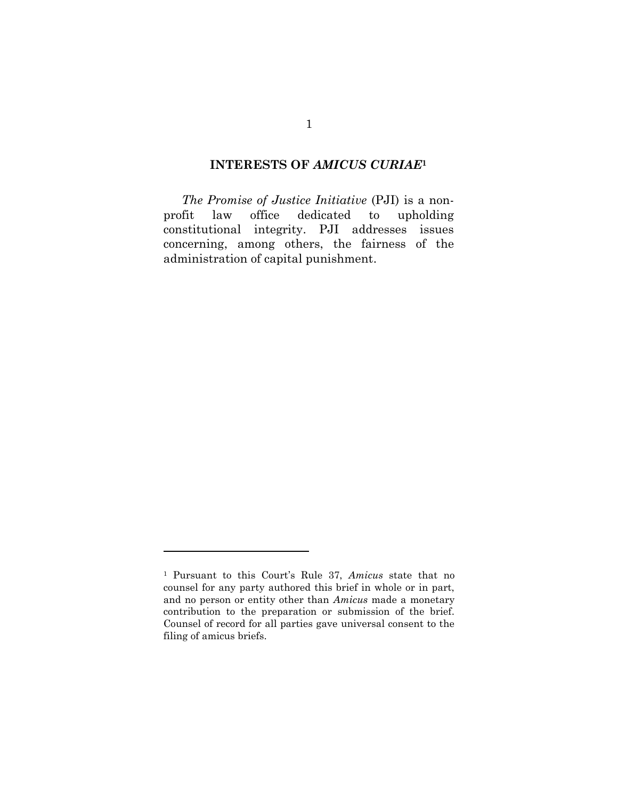#### **INTERESTS OF** *AMICUS CURIAE***<sup>1</sup>**

<span id="page-8-0"></span>*The Promise of Justice Initiative* (PJI) is a nonprofit law office dedicated to upholding constitutional integrity. PJI addresses issues concerning, among others, the fairness of the administration of capital punishment.

 $\overline{a}$ 

<sup>1</sup> Pursuant to this Court's Rule 37, *Amicus* state that no counsel for any party authored this brief in whole or in part, and no person or entity other than *Amicus* made a monetary contribution to the preparation or submission of the brief. Counsel of record for all parties gave universal consent to the filing of amicus briefs.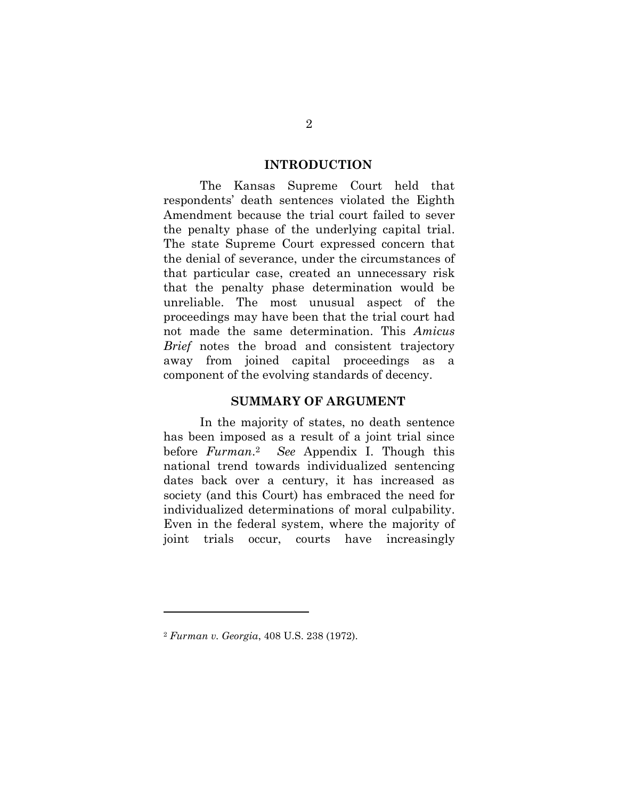#### **INTRODUCTION**

<span id="page-9-0"></span>The Kansas Supreme Court held that respondents' death sentences violated the Eighth Amendment because the trial court failed to sever the penalty phase of the underlying capital trial. The state Supreme Court expressed concern that the denial of severance, under the circumstances of that particular case, created an unnecessary risk that the penalty phase determination would be unreliable. The most unusual aspect of the proceedings may have been that the trial court had not made the same determination. This *Amicus Brief* notes the broad and consistent trajectory away from joined capital proceedings as a component of the evolving standards of decency.

#### **SUMMARY OF ARGUMENT**

<span id="page-9-1"></span>In the majority of states, no death sentence has been imposed as a result of a joint trial since before *Furman*. <sup>2</sup> *See* Appendix I. Though this national trend towards individualized sentencing dates back over a century, it has increased as society (and this Court) has embraced the need for individualized determinations of moral culpability. Even in the federal system, where the majority of joint trials occur, courts have increasingly

l

<sup>2</sup> *Furman v. Georgia*, 408 U.S. 238 (1972).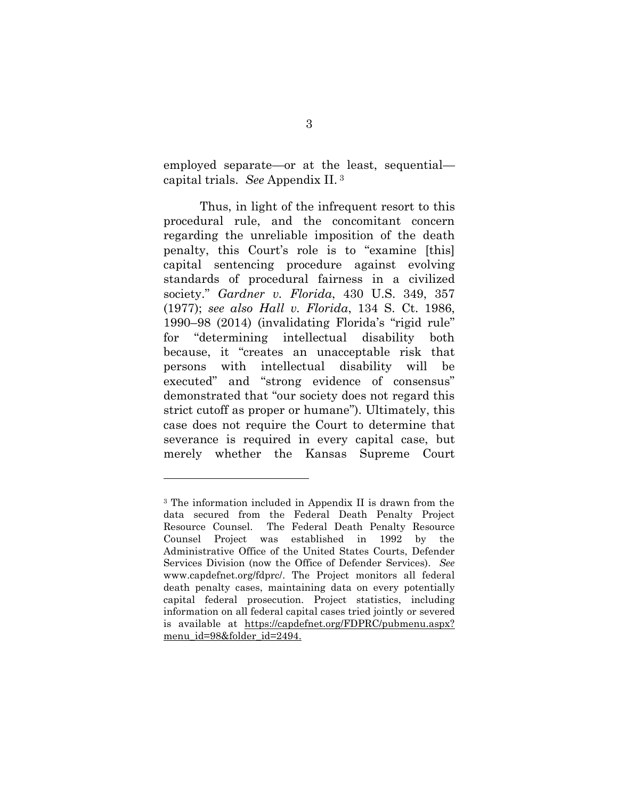employed separate—or at the least, sequential capital trials. *See* Appendix II. <sup>3</sup>

Thus, in light of the infrequent resort to this procedural rule, and the concomitant concern regarding the unreliable imposition of the death penalty, this Court's role is to "examine [this] capital sentencing procedure against evolving standards of procedural fairness in a civilized society." *Gardner v. Florida*, 430 U.S. 349, 357 (1977); *see also Hall v. Florida*, 134 S. Ct. 1986, 1990–98 (2014) (invalidating Florida's "rigid rule" for "determining intellectual disability both because, it "creates an unacceptable risk that persons with intellectual disability will be executed" and "strong evidence of consensus" demonstrated that "our society does not regard this strict cutoff as proper or humane"). Ultimately, this case does not require the Court to determine that severance is required in every capital case, but merely whether the Kansas Supreme Court

l

<sup>3</sup> The information included in Appendix II is drawn from the data secured from the Federal Death Penalty Project Resource Counsel. The Federal Death Penalty Resource Counsel Project was established in 1992 by the Administrative Office of the United States Courts, Defender Services Division (now the Office of Defender Services). *See* www.capdefnet.org/fdprc/. The Project monitors all federal death penalty cases, maintaining data on every potentially capital federal prosecution. Project statistics, including information on all federal capital cases tried jointly or severed is available at [https://capdefnet.org/FDPRC/pubmenu.aspx?](https://capdefnet.org/FDPRC/pubmenu.aspx?%20menu_id=98&folder_id=2494)  menu id=98&folder id=2494.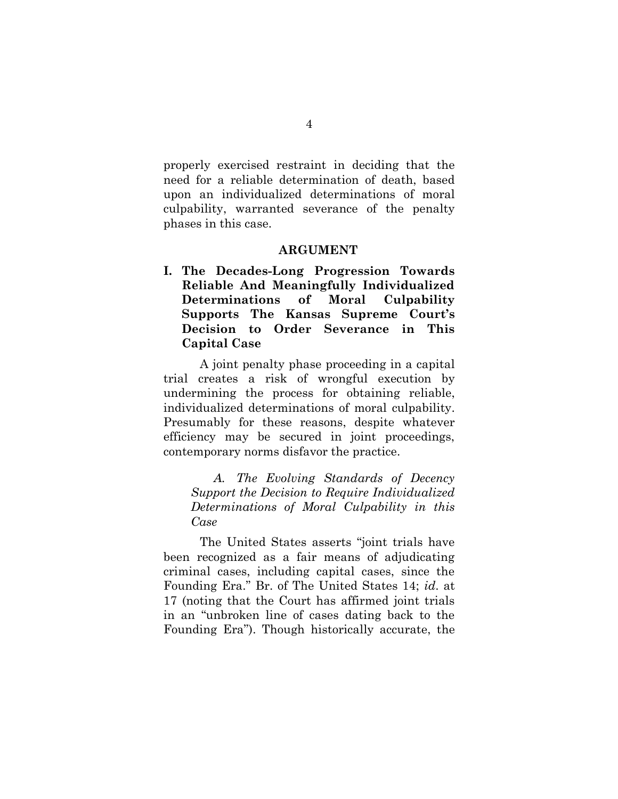properly exercised restraint in deciding that the need for a reliable determination of death, based upon an individualized determinations of moral culpability, warranted severance of the penalty phases in this case.

#### **ARGUMENT**

<span id="page-11-1"></span><span id="page-11-0"></span>**I. The Decades-Long Progression Towards Reliable And Meaningfully Individualized Determinations of Moral Culpability Supports The Kansas Supreme Court's Decision to Order Severance in This Capital Case**

A joint penalty phase proceeding in a capital trial creates a risk of wrongful execution by undermining the process for obtaining reliable, individualized determinations of moral culpability. Presumably for these reasons, despite whatever efficiency may be secured in joint proceedings, contemporary norms disfavor the practice.

<span id="page-11-2"></span>*A. The Evolving Standards of Decency Support the Decision to Require Individualized Determinations of Moral Culpability in this Case*

The United States asserts "joint trials have been recognized as a fair means of adjudicating criminal cases, including capital cases, since the Founding Era." Br. of The United States 14; *id*. at 17 (noting that the Court has affirmed joint trials in an "unbroken line of cases dating back to the Founding Era"). Though historically accurate, the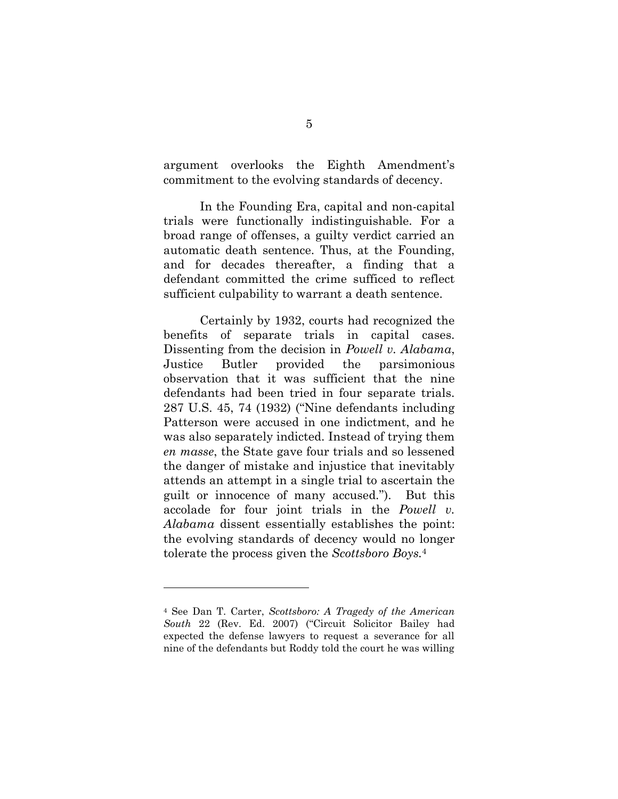argument overlooks the Eighth Amendment's commitment to the evolving standards of decency.

In the Founding Era, capital and non-capital trials were functionally indistinguishable. For a broad range of offenses, a guilty verdict carried an automatic death sentence. Thus, at the Founding, and for decades thereafter, a finding that a defendant committed the crime sufficed to reflect sufficient culpability to warrant a death sentence.

Certainly by 1932, courts had recognized the benefits of separate trials in capital cases. Dissenting from the decision in *Powell v. Alabama*, Justice Butler provided the parsimonious observation that it was sufficient that the nine defendants had been tried in four separate trials. 287 U.S. 45, 74 (1932) ("Nine defendants including Patterson were accused in one indictment, and he was also separately indicted. Instead of trying them *en masse*, the State gave four trials and so lessened the danger of mistake and injustice that inevitably attends an attempt in a single trial to ascertain the guilt or innocence of many accused."). But this accolade for four joint trials in the *Powell v. Alabama* dissent essentially establishes the point: the evolving standards of decency would no longer tolerate the process given the *Scottsboro Boys.*<sup>4</sup>

 $\overline{a}$ 

<sup>4</sup> See Dan T. Carter, *Scottsboro: A Tragedy of the American South* 22 (Rev. Ed. 2007) ("Circuit Solicitor Bailey had expected the defense lawyers to request a severance for all nine of the defendants but Roddy told the court he was willing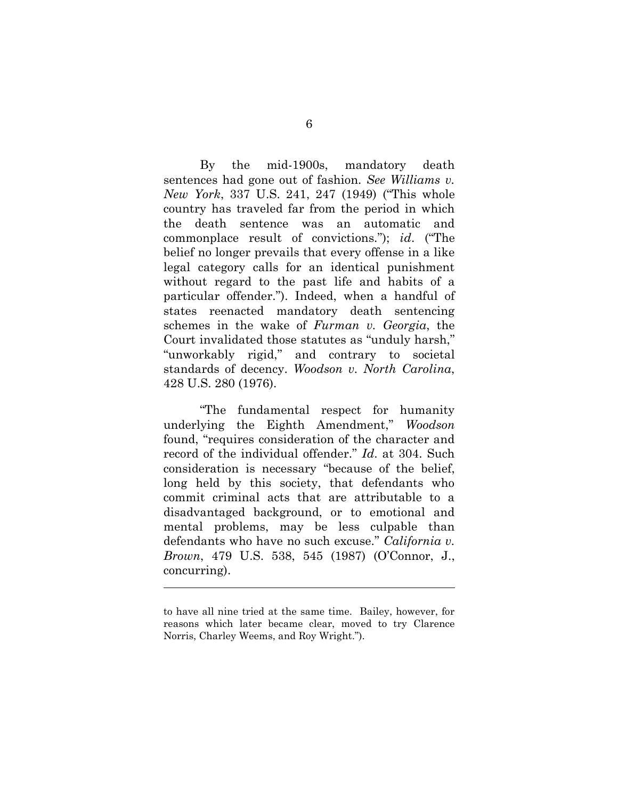By the mid-1900s, mandatory death sentences had gone out of fashion. *See Williams v. New York*, 337 U.S. 241, 247 (1949) ("This whole country has traveled far from the period in which the death sentence was an automatic and commonplace result of convictions."); *id*. ("The belief no longer prevails that every offense in a like legal category calls for an identical punishment without regard to the past life and habits of a particular offender."). Indeed, when a handful of states reenacted mandatory death sentencing schemes in the wake of *Furman v. Georgia*, the Court invalidated those statutes as "unduly harsh," "unworkably rigid," and contrary to societal standards of decency. *Woodson v. North Carolina*, 428 U.S. 280 (1976).

"The fundamental respect for humanity underlying the Eighth Amendment," *Woodson*  found, "requires consideration of the character and record of the individual offender." *Id*. at 304. Such consideration is necessary "because of the belief, long held by this society, that defendants who commit criminal acts that are attributable to a disadvantaged background, or to emotional and mental problems, may be less culpable than defendants who have no such excuse." *California v. Brown*, 479 U.S. 538, 545 (1987) (O'Connor, J., concurring).

 $\overline{a}$ 

to have all nine tried at the same time. Bailey, however, for reasons which later became clear, moved to try Clarence Norris, Charley Weems, and Roy Wright.").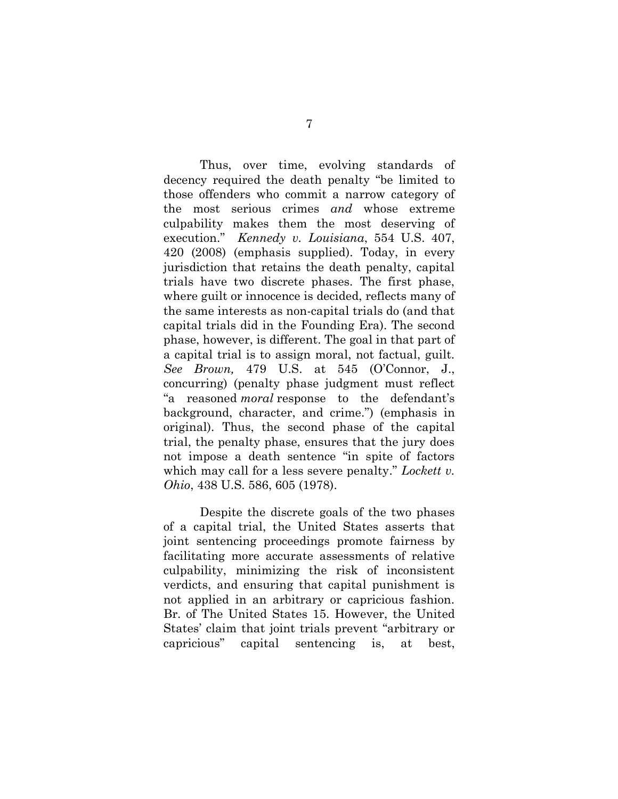Thus, over time, evolving standards of decency required the death penalty "be limited to those offenders who commit a narrow category of the most serious crimes *and* whose extreme culpability makes them the most deserving of execution." *Kennedy v. Louisiana*, 554 U.S. 407, 420 (2008) (emphasis supplied). Today, in every jurisdiction that retains the death penalty, capital trials have two discrete phases. The first phase, where guilt or innocence is decided, reflects many of the same interests as non-capital trials do (and that capital trials did in the Founding Era). The second phase, however, is different. The goal in that part of a capital trial is to assign moral, not factual, guilt. *See Brown,* 479 U.S. at 545 (O'Connor, J., concurring) (penalty phase judgment must reflect "a reasoned *moral* response to the defendant's background, character, and crime.") (emphasis in original). Thus, the second phase of the capital trial, the penalty phase, ensures that the jury does not impose a death sentence "in spite of factors which may call for a less severe penalty." *Lockett v. Ohio*, 438 U.S. 586, 605 (1978).

Despite the discrete goals of the two phases of a capital trial, the United States asserts that joint sentencing proceedings promote fairness by facilitating more accurate assessments of relative culpability, minimizing the risk of inconsistent verdicts, and ensuring that capital punishment is not applied in an arbitrary or capricious fashion. Br. of The United States 15. However, the United States' claim that joint trials prevent "arbitrary or capricious" capital sentencing is, at best,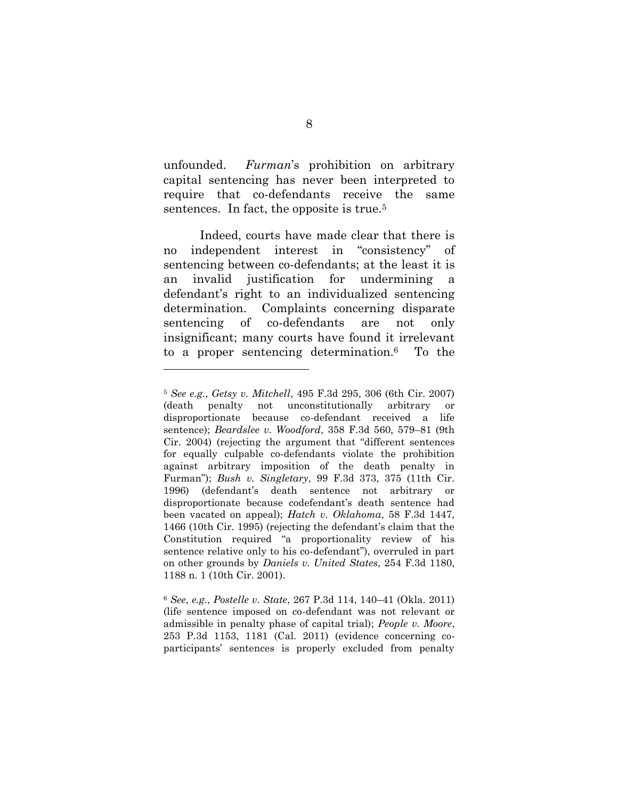unfounded. *Furman*'s prohibition on arbitrary capital sentencing has never been interpreted to require that co-defendants receive the same sentences. In fact, the opposite is true.<sup>5</sup>

Indeed, courts have made clear that there is no independent interest in "consistency" of sentencing between co-defendants; at the least it is an invalid justification for undermining defendant's right to an individualized sentencing determination. Complaints concerning disparate sentencing of co-defendants are not only insignificant; many courts have found it irrelevant to a proper sentencing determination.6 To the

 $\overline{a}$ 

<sup>5</sup> *See e.g.*, *Getsy v. Mitchell*, 495 F.3d 295, 306 (6th Cir. 2007) (death penalty not unconstitutionally arbitrary or disproportionate because co-defendant received a life sentence); *Beardslee v. Woodford*, 358 F.3d 560, 579–81 (9th Cir. 2004) (rejecting the argument that "different sentences for equally culpable co-defendants violate the prohibition against arbitrary imposition of the death penalty in Furman"); *Bush v. Singletary*, 99 F.3d 373, 375 (11th Cir. 1996) (defendant's death sentence not arbitrary or disproportionate because codefendant's death sentence had been vacated on appeal); *Hatch v. Oklahoma*, 58 F.3d 1447, 1466 (10th Cir. 1995) (rejecting the defendant's claim that the Constitution required "a proportionality review of his sentence relative only to his co-defendant"), overruled in part on other grounds by *Daniels v. United States*, 254 F.3d 1180, 1188 n. 1 (10th Cir. 2001).

<sup>6</sup> *See*, *e.g.*, *Postelle v. State*, 267 P.3d 114, 140–41 (Okla. 2011) (life sentence imposed on co-defendant was not relevant or admissible in penalty phase of capital trial); *People v. Moore*, 253 P.3d 1153, 1181 (Cal. 2011) (evidence concerning coparticipants' sentences is properly excluded from penalty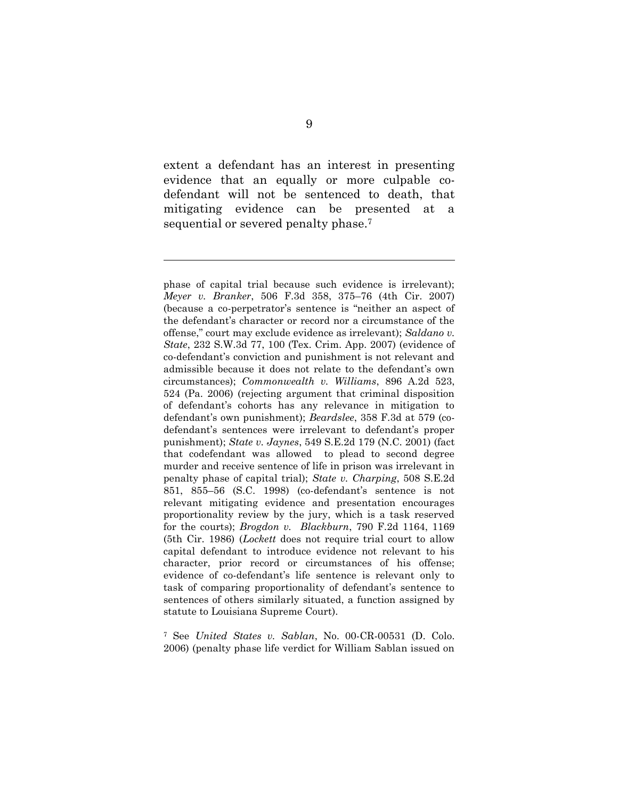extent a defendant has an interest in presenting evidence that an equally or more culpable codefendant will not be sentenced to death, that mitigating evidence can be presented at a sequential or severed penalty phase.<sup>7</sup>

l

<sup>7</sup> See *United States v. Sablan*, No. 00-CR-00531 (D. Colo. 2006) (penalty phase life verdict for William Sablan issued on

phase of capital trial because such evidence is irrelevant); *Meyer v. Branker*, 506 F.3d 358, 375–76 (4th Cir. 2007) (because a co-perpetrator's sentence is "neither an aspect of the defendant's character or record nor a circumstance of the offense," court may exclude evidence as irrelevant); *Saldano v. State*, 232 S.W.3d 77, 100 (Tex. Crim. App. 2007) (evidence of co-defendant's conviction and punishment is not relevant and admissible because it does not relate to the defendant's own circumstances); *Commonwealth v. Williams*, 896 A.2d 523, 524 (Pa. 2006) (rejecting argument that criminal disposition of defendant's cohorts has any relevance in mitigation to defendant's own punishment); *Beardslee*, 358 F.3d at 579 (codefendant's sentences were irrelevant to defendant's proper punishment); *State v. Jaynes*, 549 S.E.2d 179 (N.C. 2001) (fact that codefendant was allowed to plead to second degree murder and receive sentence of life in prison was irrelevant in penalty phase of capital trial); *State v. Charping*, 508 S.E.2d 851, 855–56 (S.C. 1998) (co-defendant's sentence is not relevant mitigating evidence and presentation encourages proportionality review by the jury, which is a task reserved for the courts); *Brogdon v. Blackburn*, 790 F.2d 1164, 1169 (5th Cir. 1986) (*Lockett* does not require trial court to allow capital defendant to introduce evidence not relevant to his character, prior record or circumstances of his offense; evidence of co-defendant's life sentence is relevant only to task of comparing proportionality of defendant's sentence to sentences of others similarly situated, a function assigned by statute to Louisiana Supreme Court).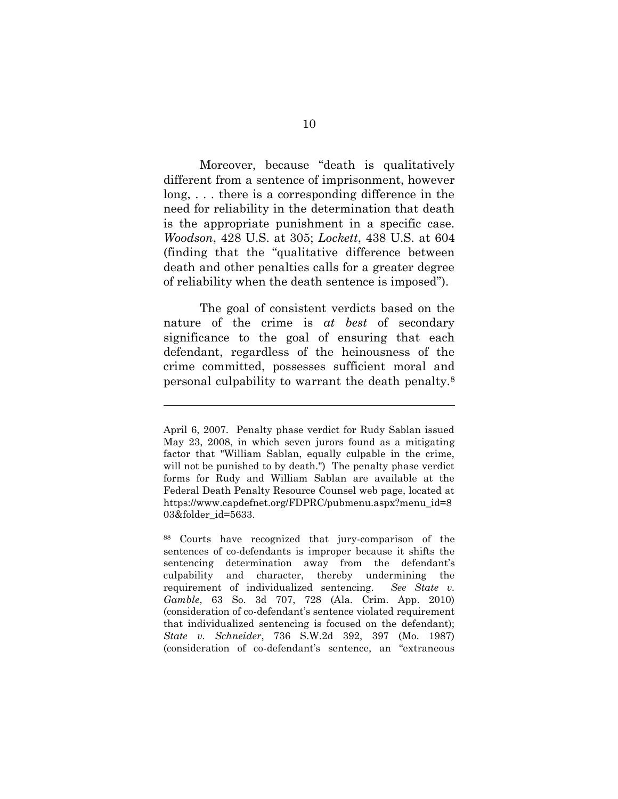Moreover, because "death is qualitatively different from a sentence of imprisonment, however long, . . . there is a corresponding difference in the need for reliability in the determination that death is the appropriate punishment in a specific case. *Woodson*, 428 U.S. at 305; *Lockett*, 438 U.S. at 604 (finding that the "qualitative difference between death and other penalties calls for a greater degree of reliability when the death sentence is imposed").

The goal of consistent verdicts based on the nature of the crime is *at best* of secondary significance to the goal of ensuring that each defendant, regardless of the heinousness of the crime committed, possesses sufficient moral and personal culpability to warrant the death penalty.<sup>8</sup>

 $\overline{a}$ 

<sup>88</sup> Courts have recognized that jury-comparison of the sentences of co-defendants is improper because it shifts the sentencing determination away from the defendant's culpability and character, thereby undermining the requirement of individualized sentencing. *See State v. Gamble*, 63 So. 3d 707, 728 (Ala. Crim. App. 2010) (consideration of co-defendant's sentence violated requirement that individualized sentencing is focused on the defendant); *State v. Schneider*, 736 S.W.2d 392, 397 (Mo. 1987) (consideration of co-defendant's sentence, an "extraneous

April 6, 2007. Penalty phase verdict for Rudy Sablan issued May 23, 2008, in which seven jurors found as a mitigating factor that "William Sablan, equally culpable in the crime, will not be punished to by death.") The penalty phase verdict forms for Rudy and William Sablan are available at the Federal Death Penalty Resource Counsel web page, located at https://www.capdefnet.org/FDPRC/pubmenu.aspx?menu\_id=8 03&folder\_id=5633.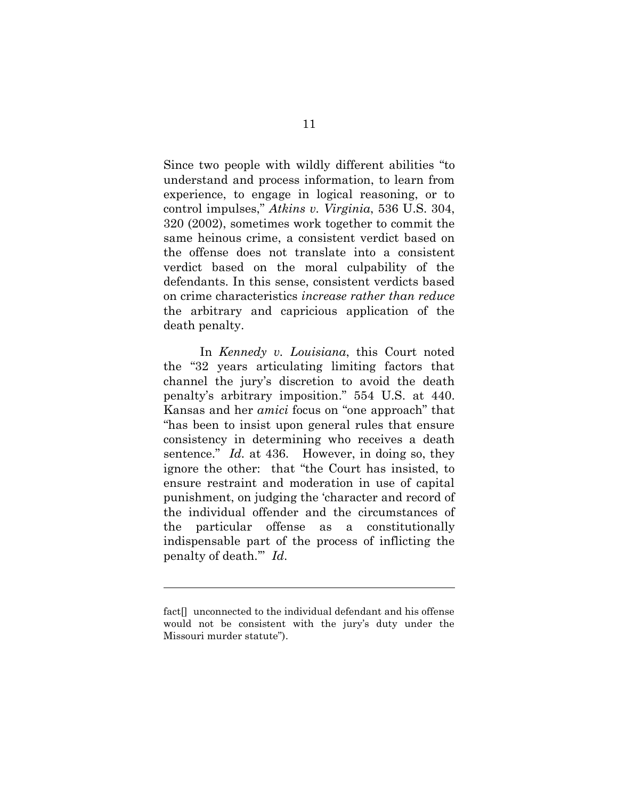Since two people with wildly different abilities "to understand and process information, to learn from experience, to engage in logical reasoning, or to control impulses," *Atkins v. Virginia*, 536 U.S. 304, 320 (2002), sometimes work together to commit the same heinous crime, a consistent verdict based on the offense does not translate into a consistent verdict based on the moral culpability of the defendants. In this sense, consistent verdicts based on crime characteristics *increase rather than reduce* the arbitrary and capricious application of the death penalty.

In *Kennedy v. Louisiana*, this Court noted the "32 years articulating limiting factors that channel the jury's discretion to avoid the death penalty's arbitrary imposition." 554 U.S. at 440. Kansas and her *amici* focus on "one approach" that "has been to insist upon general rules that ensure consistency in determining who receives a death sentence." *Id.* at 436. However, in doing so, they ignore the other: that "the Court has insisted, to ensure restraint and moderation in use of capital punishment, on judging the 'character and record of the individual offender and the circumstances of the particular offense as a constitutionally indispensable part of the process of inflicting the penalty of death.'" *Id*.

 $\overline{a}$ 

fact<sup>[]</sup> unconnected to the individual defendant and his offense would not be consistent with the jury's duty under the Missouri murder statute").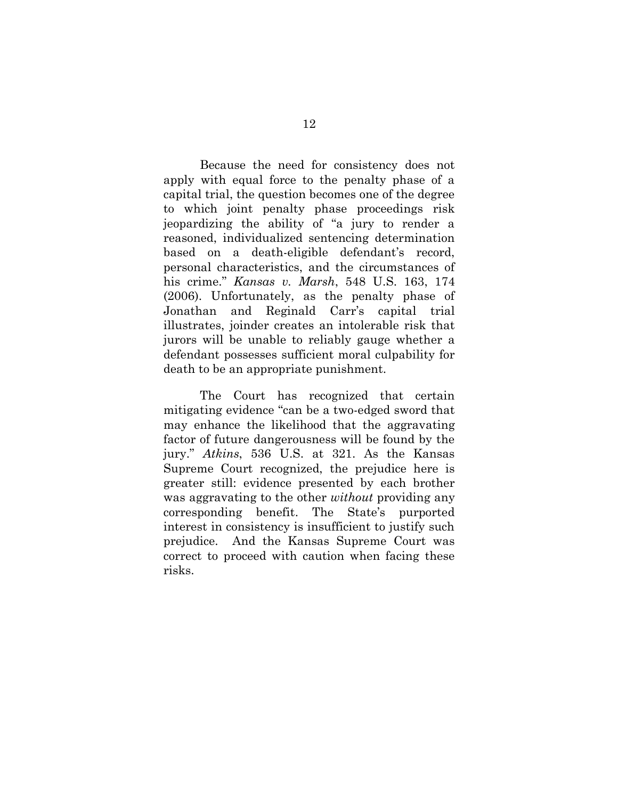Because the need for consistency does not apply with equal force to the penalty phase of a capital trial, the question becomes one of the degree to which joint penalty phase proceedings risk jeopardizing the ability of "a jury to render a reasoned, individualized sentencing determination based on a death-eligible defendant's record, personal characteristics, and the circumstances of his crime." *Kansas v. Marsh*, 548 U.S. 163, 174 (2006). Unfortunately, as the penalty phase of Jonathan and Reginald Carr's capital trial illustrates, joinder creates an intolerable risk that jurors will be unable to reliably gauge whether a defendant possesses sufficient moral culpability for death to be an appropriate punishment.

The Court has recognized that certain mitigating evidence "can be a two-edged sword that may enhance the likelihood that the aggravating factor of future dangerousness will be found by the jury." *Atkins*, 536 U.S. at 321. As the Kansas Supreme Court recognized, the prejudice here is greater still: evidence presented by each brother was aggravating to the other *without* providing any corresponding benefit. The State's purported interest in consistency is insufficient to justify such prejudice. And the Kansas Supreme Court was correct to proceed with caution when facing these risks.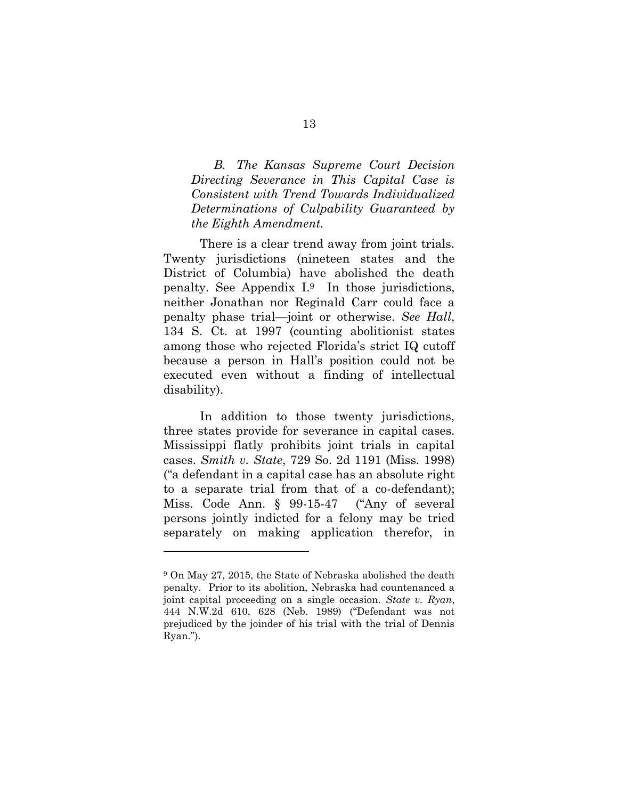<span id="page-20-0"></span>*B. The Kansas Supreme Court Decision Directing Severance in This Capital Case is Consistent with Trend Towards Individualized Determinations of Culpability Guaranteed by the Eighth Amendment.* 

There is a clear trend away from joint trials. Twenty jurisdictions (nineteen states and the District of Columbia) have abolished the death penalty. See Appendix I. <sup>9</sup> In those jurisdictions, neither Jonathan nor Reginald Carr could face a penalty phase trial—joint or otherwise. *See Hall*, 134 S. Ct. at 1997 (counting abolitionist states among those who rejected Florida's strict IQ cutoff because a person in Hall's position could not be executed even without a finding of intellectual disability).

In addition to those twenty jurisdictions, three states provide for severance in capital cases. Mississippi flatly prohibits joint trials in capital cases. *Smith v. State*, 729 So. 2d 1191 (Miss. 1998) ("a defendant in a capital case has an absolute right to a separate trial from that of a co-defendant); Miss. Code Ann. § 99-15-47 ("Any of several persons jointly indicted for a felony may be tried separately on making application therefor, in

 $\overline{a}$ 

<sup>9</sup> On May 27, 2015, the State of Nebraska abolished the death penalty. Prior to its abolition, Nebraska had countenanced a joint capital proceeding on a single occasion. *State v. Ryan*, 444 N.W.2d 610, 628 (Neb. 1989) ("Defendant was not prejudiced by the joinder of his trial with the trial of Dennis Ryan.").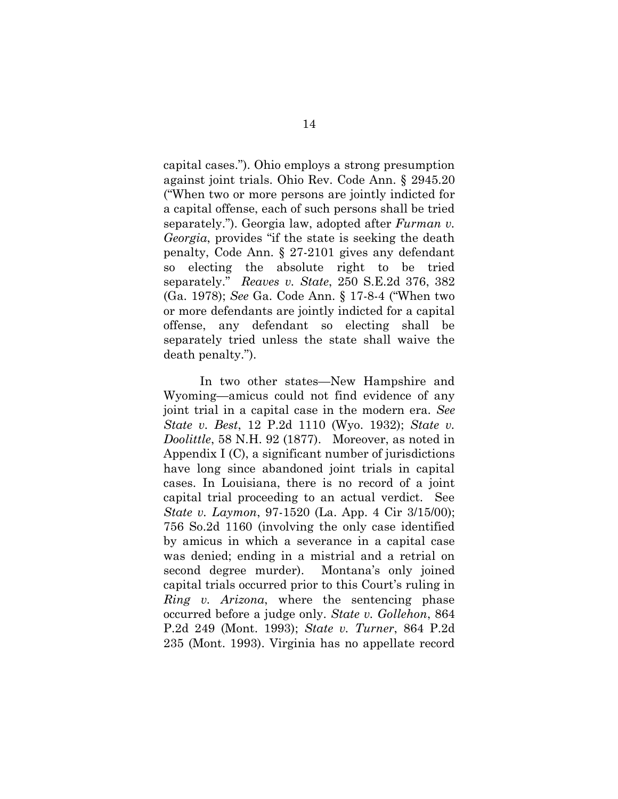capital cases."). Ohio employs a strong presumption against joint trials. Ohio Rev. Code Ann. § 2945.20 ("When two or more persons are jointly indicted for a capital offense, each of such persons shall be tried separately."). Georgia law, adopted after *Furman v. Georgia*, provides "if the state is seeking the death penalty, Code Ann. § 27-2101 gives any defendant so electing the absolute right to be tried separately." *Reaves v. State*, 250 S.E.2d 376, 382 (Ga. 1978); *See* Ga. Code Ann. § 17-8-4 ("When two or more defendants are jointly indicted for a capital offense, any defendant so electing shall be separately tried unless the state shall waive the death penalty.").

In two other states—New Hampshire and Wyoming—amicus could not find evidence of any joint trial in a capital case in the modern era. *See State v. Best*, 12 P.2d 1110 (Wyo. 1932); *State v. Doolittle*, 58 N.H. 92 (1877). Moreover, as noted in Appendix I (C), a significant number of jurisdictions have long since abandoned joint trials in capital cases. In Louisiana, there is no record of a joint capital trial proceeding to an actual verdict. See *State v. Laymon*, 97-1520 (La. App. 4 Cir 3/15/00); 756 So.2d 1160 (involving the only case identified by amicus in which a severance in a capital case was denied; ending in a mistrial and a retrial on second degree murder). Montana's only joined capital trials occurred prior to this Court's ruling in *Ring v. Arizona*, where the sentencing phase occurred before a judge only. *State v. Gollehon*, 864 P.2d 249 (Mont. 1993); *State v. Turner*, 864 P.2d 235 (Mont. 1993). Virginia has no appellate record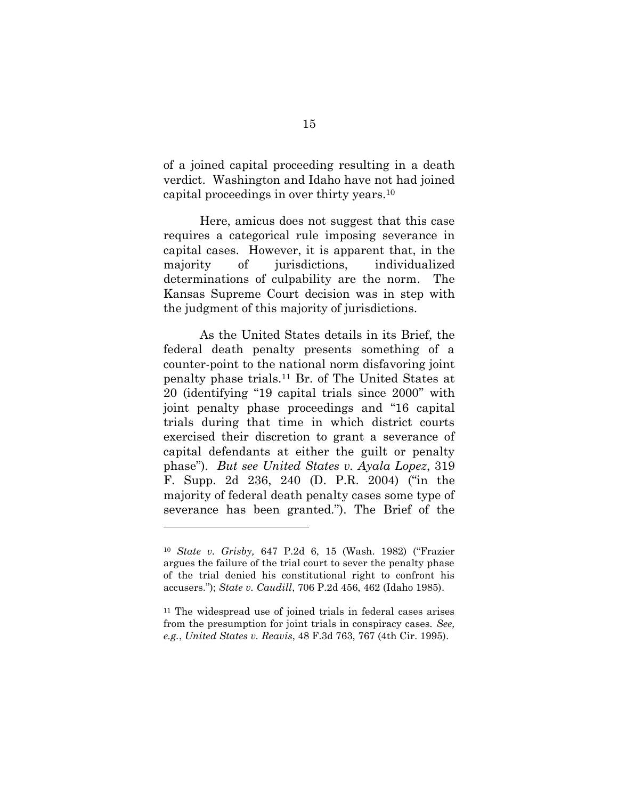of a joined capital proceeding resulting in a death verdict. Washington and Idaho have not had joined capital proceedings in over thirty years.<sup>10</sup>

Here, amicus does not suggest that this case requires a categorical rule imposing severance in capital cases. However, it is apparent that, in the majority of jurisdictions, individualized determinations of culpability are the norm. The Kansas Supreme Court decision was in step with the judgment of this majority of jurisdictions.

As the United States details in its Brief, the federal death penalty presents something of a counter-point to the national norm disfavoring joint penalty phase trials.<sup>11</sup> Br. of The United States at 20 (identifying "19 capital trials since 2000" with joint penalty phase proceedings and "16 capital trials during that time in which district courts exercised their discretion to grant a severance of capital defendants at either the guilt or penalty phase"). *But see United States v. Ayala Lopez*, 319 F. Supp. 2d 236, 240 (D. P.R. 2004) ("in the majority of federal death penalty cases some type of severance has been granted."). The Brief of the

l

<sup>10</sup> *State v. Grisby,* 647 P.2d 6, 15 (Wash. 1982) ("Frazier argues the failure of the trial court to sever the penalty phase of the trial denied his constitutional right to confront his accusers."); *State v. Caudill*, 706 P.2d 456, 462 (Idaho 1985).

<sup>11</sup> The widespread use of joined trials in federal cases arises from the presumption for joint trials in conspiracy cases. *See, e.g.*, *United States v. Reavis*, 48 F.3d 763, 767 (4th Cir. 1995).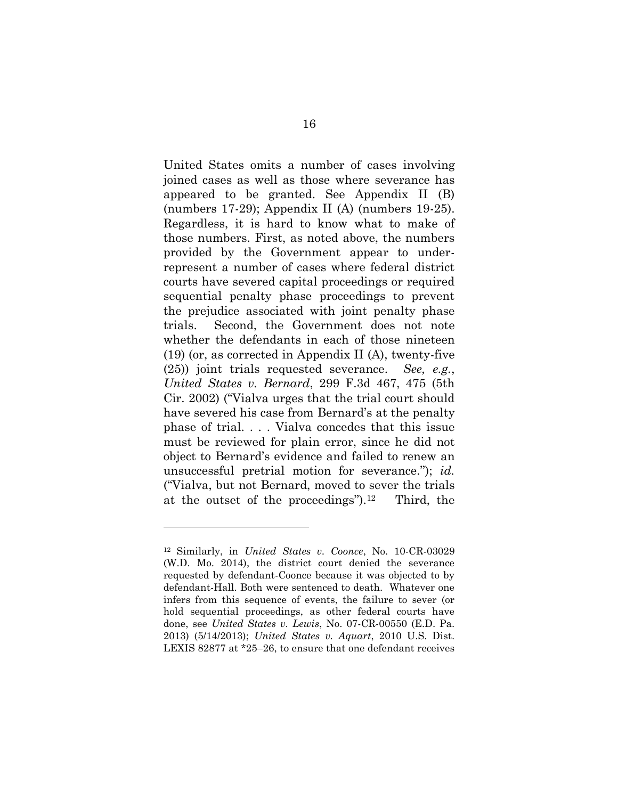United States omits a number of cases involving joined cases as well as those where severance has appeared to be granted. See Appendix II (B) (numbers 17-29); Appendix II (A) (numbers 19-25). Regardless, it is hard to know what to make of those numbers. First, as noted above, the numbers provided by the Government appear to underrepresent a number of cases where federal district courts have severed capital proceedings or required sequential penalty phase proceedings to prevent the prejudice associated with joint penalty phase trials. Second, the Government does not note whether the defendants in each of those nineteen (19) (or, as corrected in Appendix II (A), twenty-five (25)) joint trials requested severance. *See, e.g.*, *United States v. Bernard*, 299 F.3d 467, 475 (5th Cir. 2002) ("Vialva urges that the trial court should have severed his case from Bernard's at the penalty phase of trial. . . . Vialva concedes that this issue must be reviewed for plain error, since he did not object to Bernard's evidence and failed to renew an unsuccessful pretrial motion for severance."); *id.* ("Vialva, but not Bernard, moved to sever the trials at the outset of the proceedings").12 Third, the

l

<sup>12</sup> Similarly, in *United States v. Coonce*, No. 10-CR-03029 (W.D. Mo. 2014), the district court denied the severance requested by defendant-Coonce because it was objected to by defendant-Hall. Both were sentenced to death. Whatever one infers from this sequence of events, the failure to sever (or hold sequential proceedings, as other federal courts have done, see *United States v. Lewis*, No. 07-CR-00550 (E.D. Pa. 2013) (5/14/2013); *United States v. Aquart*, 2010 U.S. Dist. LEXIS 82877 at \*25–26, to ensure that one defendant receives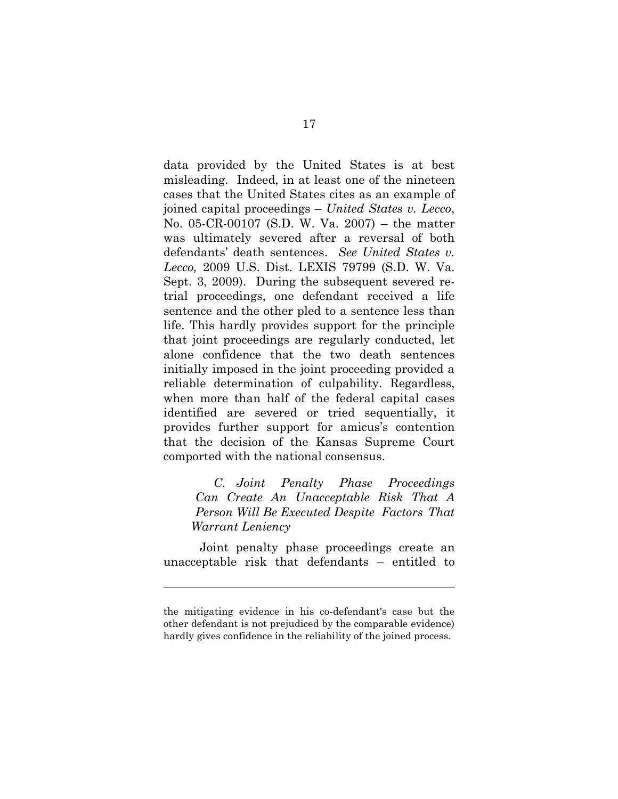data provided by the United States is at best misleading. Indeed, in at least one of the nineteen cases that the United States cites as an example of joined capital proceedings – *United States v. Lecco*, No. 05-CR-00107 (S.D. W. Va. 2007) – the matter was ultimately severed after a reversal of both defendants' death sentences. *See United States v. Lecco,* 2009 U.S. Dist. LEXIS 79799 (S.D. W. Va. Sept. 3, 2009). During the subsequent severed retrial proceedings, one defendant received a life sentence and the other pled to a sentence less than life. This hardly provides support for the principle that joint proceedings are regularly conducted, let alone confidence that the two death sentences initially imposed in the joint proceeding provided a reliable determination of culpability. Regardless, when more than half of the federal capital cases identified are severed or tried sequentially, it provides further support for amicus's contention that the decision of the Kansas Supreme Court comported with the national consensus.

<span id="page-24-0"></span>*C. Joint Penalty Phase Proceedings Can Create An Unacceptable Risk That A Person Will Be Executed Despite Factors That Warrant Leniency*

Joint penalty phase proceedings create an unacceptable risk that defendants – entitled to

 $\overline{a}$ 

the mitigating evidence in his co-defendant's case but the other defendant is not prejudiced by the comparable evidence) hardly gives confidence in the reliability of the joined process.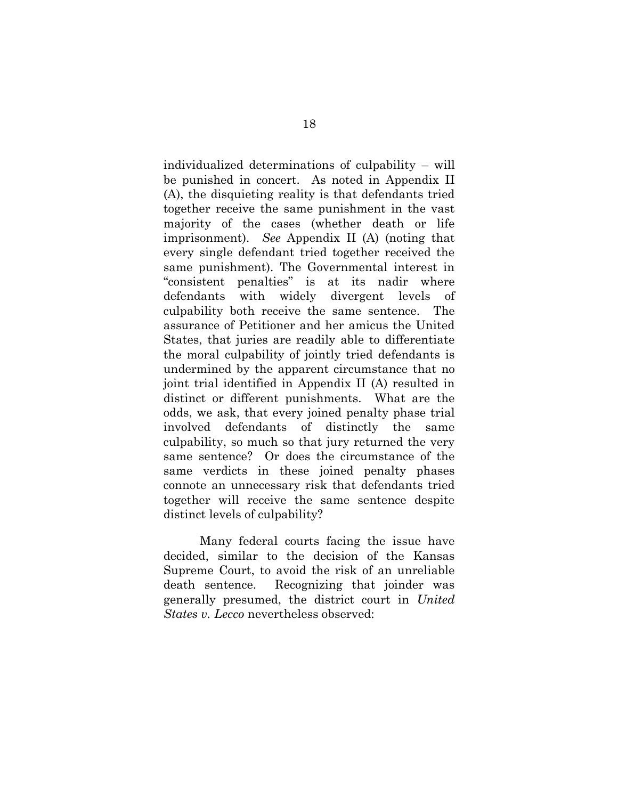individualized determinations of culpability – will be punished in concert. As noted in Appendix II (A), the disquieting reality is that defendants tried together receive the same punishment in the vast majority of the cases (whether death or life imprisonment). *See* Appendix II (A) (noting that every single defendant tried together received the same punishment). The Governmental interest in "consistent penalties" is at its nadir where defendants with widely divergent levels of culpability both receive the same sentence. The assurance of Petitioner and her amicus the United States, that juries are readily able to differentiate the moral culpability of jointly tried defendants is undermined by the apparent circumstance that no joint trial identified in Appendix II (A) resulted in distinct or different punishments. What are the odds, we ask, that every joined penalty phase trial involved defendants of distinctly the same culpability, so much so that jury returned the very same sentence? Or does the circumstance of the same verdicts in these joined penalty phases connote an unnecessary risk that defendants tried together will receive the same sentence despite distinct levels of culpability?

Many federal courts facing the issue have decided, similar to the decision of the Kansas Supreme Court, to avoid the risk of an unreliable death sentence. Recognizing that joinder was generally presumed, the district court in *United States v. Lecco* nevertheless observed: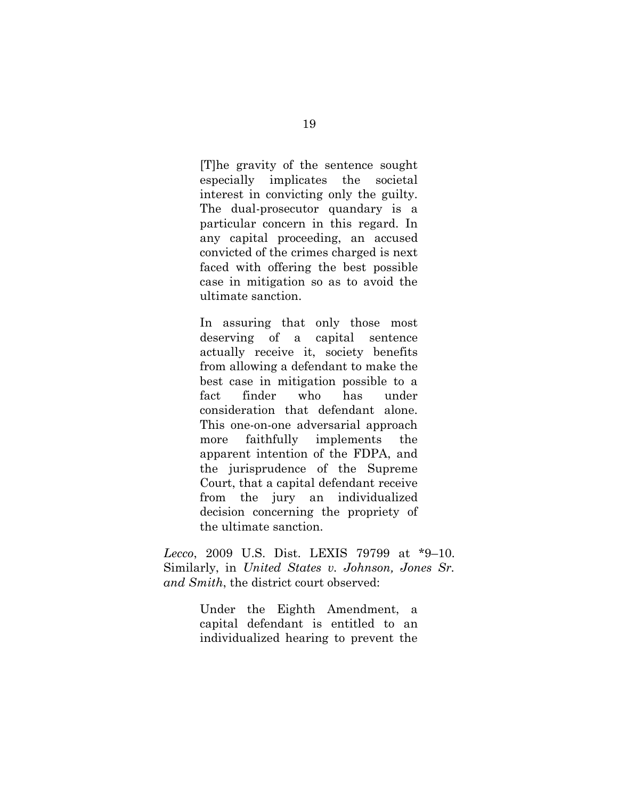[T]he gravity of the sentence sought especially implicates the societal interest in convicting only the guilty. The dual-prosecutor quandary is a particular concern in this regard. In any capital proceeding, an accused convicted of the crimes charged is next faced with offering the best possible case in mitigation so as to avoid the ultimate sanction.

In assuring that only those most deserving of a capital sentence actually receive it, society benefits from allowing a defendant to make the best case in mitigation possible to a fact finder who has under consideration that defendant alone. This one-on-one adversarial approach more faithfully implements the apparent intention of the FDPA, and the jurisprudence of the Supreme Court, that a capital defendant receive from the jury an individualized decision concerning the propriety of the ultimate sanction.

*Lecco*, 2009 U.S. Dist. LEXIS 79799 at \*9–10. Similarly, in *United States v. Johnson, Jones Sr. and Smith*, the district court observed:

> Under the Eighth Amendment, a capital defendant is entitled to an individualized hearing to prevent the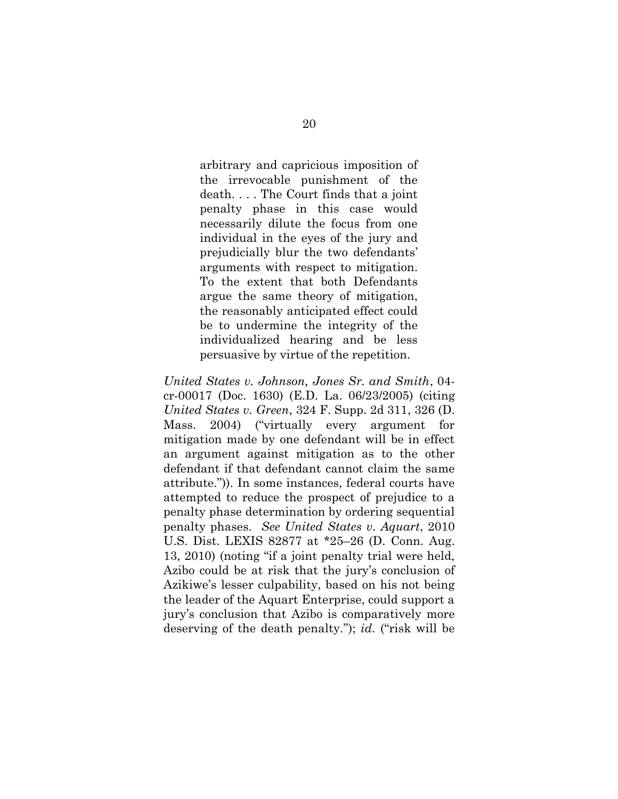arbitrary and capricious imposition of the irrevocable punishment of the death. . . . The Court finds that a joint penalty phase in this case would necessarily dilute the focus from one individual in the eyes of the jury and prejudicially blur the two defendants' arguments with respect to mitigation. To the extent that both Defendants argue the same theory of mitigation, the reasonably anticipated effect could be to undermine the integrity of the individualized hearing and be less persuasive by virtue of the repetition.

*United States v. Johnson, Jones Sr. and Smith*, 04 cr-00017 (Doc. 1630) (E.D. La. 06/23/2005) (citing *United States v. Green*, 324 F. Supp. 2d 311, 326 (D. Mass. 2004) ("virtually every argument for mitigation made by one defendant will be in effect an argument against mitigation as to the other defendant if that defendant cannot claim the same attribute.")). In some instances, federal courts have attempted to reduce the prospect of prejudice to a penalty phase determination by ordering sequential penalty phases. *See United States v. Aquart*, 2010 U.S. Dist. LEXIS 82877 at \*25–26 (D. Conn. Aug. 13, 2010) (noting "if a joint penalty trial were held, Azibo could be at risk that the jury's conclusion of Azikiwe's lesser culpability, based on his not being the leader of the Aquart Enterprise, could support a jury's conclusion that Azibo is comparatively more deserving of the death penalty."); *id.* ("risk will be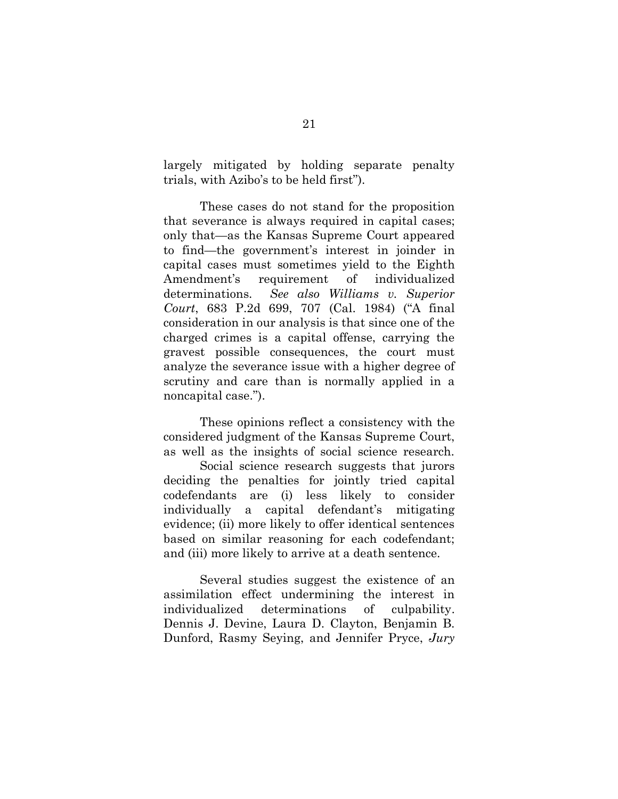largely mitigated by holding separate penalty trials, with Azibo's to be held first").

 These cases do not stand for the proposition that severance is always required in capital cases; only that—as the Kansas Supreme Court appeared to find—the government's interest in joinder in capital cases must sometimes yield to the Eighth Amendment's requirement of individualized determinations. *See also Williams v. Superior Court*, 683 P.2d 699, 707 (Cal. 1984) ("A final consideration in our analysis is that since one of the charged crimes is a capital offense, carrying the gravest possible consequences, the court must analyze the severance issue with a higher degree of scrutiny and care than is normally applied in a noncapital case.").

These opinions reflect a consistency with the considered judgment of the Kansas Supreme Court, as well as the insights of social science research.

Social science research suggests that jurors deciding the penalties for jointly tried capital codefendants are (i) less likely to consider individually a capital defendant's mitigating evidence; (ii) more likely to offer identical sentences based on similar reasoning for each codefendant; and (iii) more likely to arrive at a death sentence.

Several studies suggest the existence of an assimilation effect undermining the interest in individualized determinations of culpability. Dennis J. Devine, Laura D. Clayton, Benjamin B. Dunford, Rasmy Seying, and Jennifer Pryce, *Jury*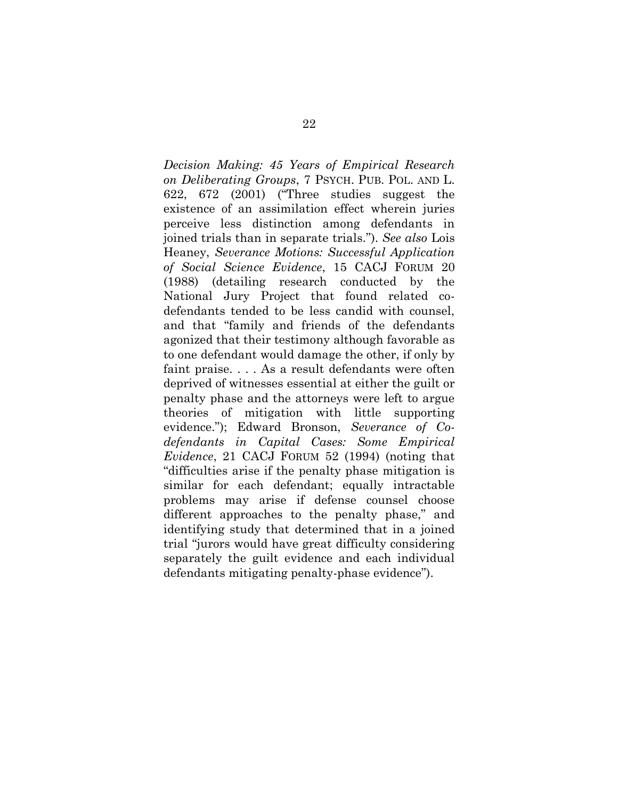*Decision Making: 45 Years of Empirical Research on Deliberating Groups*, 7 PSYCH. PUB. POL. AND L. 622, 672 (2001) ("Three studies suggest the existence of an assimilation effect wherein juries perceive less distinction among defendants in joined trials than in separate trials."). *See also* Lois Heaney, *Severance Motions: Successful Application of Social Science Evidence*, 15 CACJ FORUM 20 (1988) (detailing research conducted by the National Jury Project that found related codefendants tended to be less candid with counsel, and that "family and friends of the defendants agonized that their testimony although favorable as to one defendant would damage the other, if only by faint praise. . . . As a result defendants were often deprived of witnesses essential at either the guilt or penalty phase and the attorneys were left to argue theories of mitigation with little supporting evidence."); Edward Bronson, *Severance of Codefendants in Capital Cases: Some Empirical Evidence*, 21 CACJ FORUM 52 (1994) (noting that "difficulties arise if the penalty phase mitigation is similar for each defendant; equally intractable problems may arise if defense counsel choose different approaches to the penalty phase," and identifying study that determined that in a joined trial "jurors would have great difficulty considering separately the guilt evidence and each individual defendants mitigating penalty-phase evidence").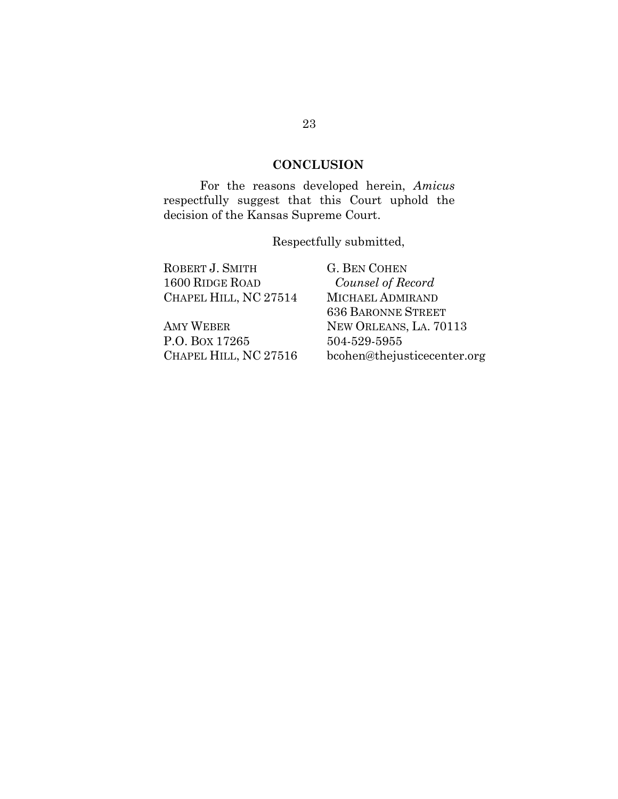### **CONCLUSION**

<span id="page-30-0"></span>For the reasons developed herein, *Amicus* respectfully suggest that this Court uphold the decision of the Kansas Supreme Court.

Respectfully submitted,

| ROBERT J. SMITH        | <b>G. BEN COHEN</b>         |
|------------------------|-----------------------------|
| <b>1600 RIDGE ROAD</b> | Counsel of Record           |
| CHAPEL HILL, NC 27514  | MICHAEL ADMIRAND            |
|                        | <b>636 BARONNE STREET</b>   |
| AMY WEBER              | NEW ORLEANS, LA. 70113      |
| P.O. Box 17265         | 504-529-5955                |
| CHAPEL HILL, NC 27516  | bcohen@thejusticecenter.org |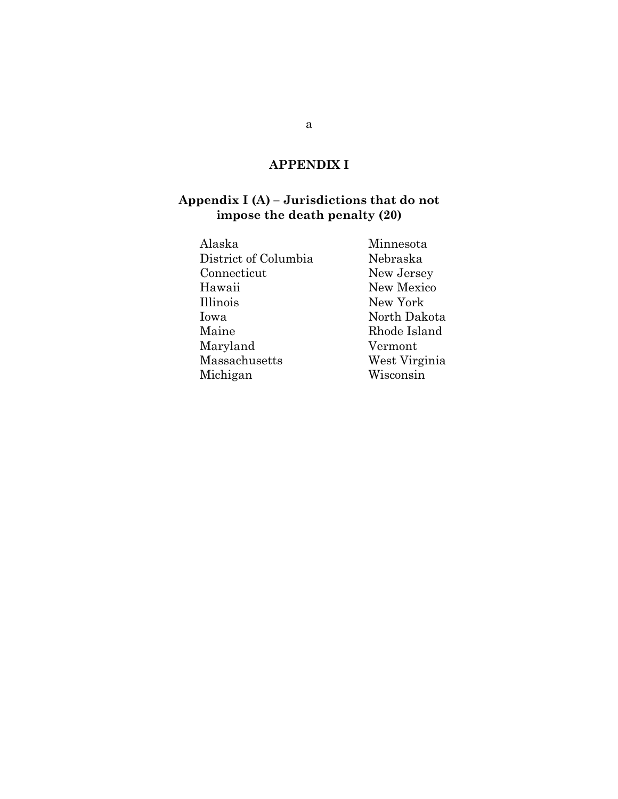## **APPENDIX I**

#### <span id="page-31-0"></span>**Appendix I (A) – Jurisdictions that do not impose the death penalty (20)**

| Minnesota     |
|---------------|
| Nebraska      |
| New Jersey    |
| New Mexico    |
| New York      |
| North Dakota  |
| Rhode Island  |
| Vermont       |
| West Virginia |
| Wisconsin     |
|               |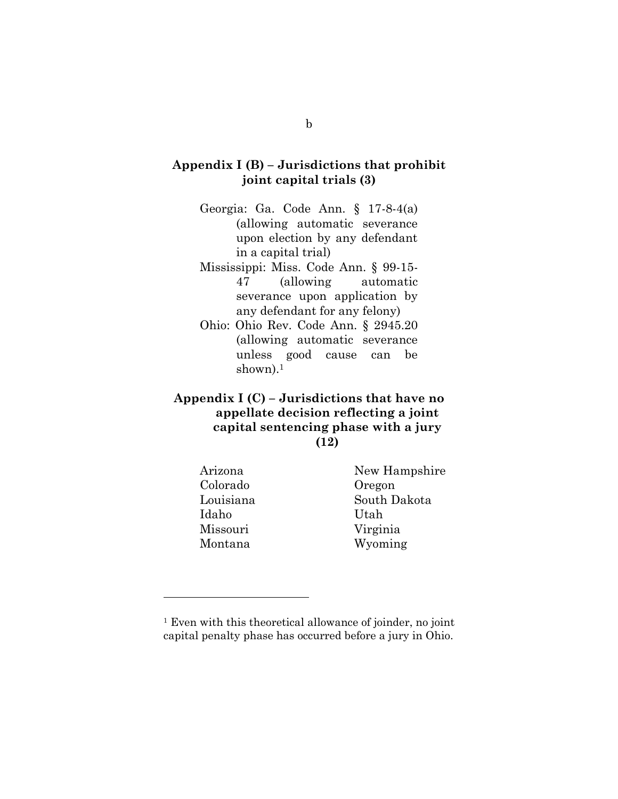#### **Appendix I (B) – Jurisdictions that prohibit joint capital trials (3)**

- Georgia: Ga. Code Ann. § 17-8-4(a) (allowing automatic severance upon election by any defendant in a capital trial)
- Mississippi: Miss. Code Ann. § 99-15- 47 (allowing automatic severance upon application by any defendant for any felony)
- Ohio: Ohio Rev. Code Ann. § 2945.20 (allowing automatic severance unless good cause can be shown).<sup>1</sup>

#### **Appendix I (C) – Jurisdictions that have no appellate decision reflecting a joint capital sentencing phase with a jury (12)**

Colorado Oregon Idaho Utah Missouri Virginia

l

Arizona New Hampshire Louisiana South Dakota Montana Wyoming

<sup>&</sup>lt;sup>1</sup> Even with this theoretical allowance of joinder, no joint capital penalty phase has occurred before a jury in Ohio.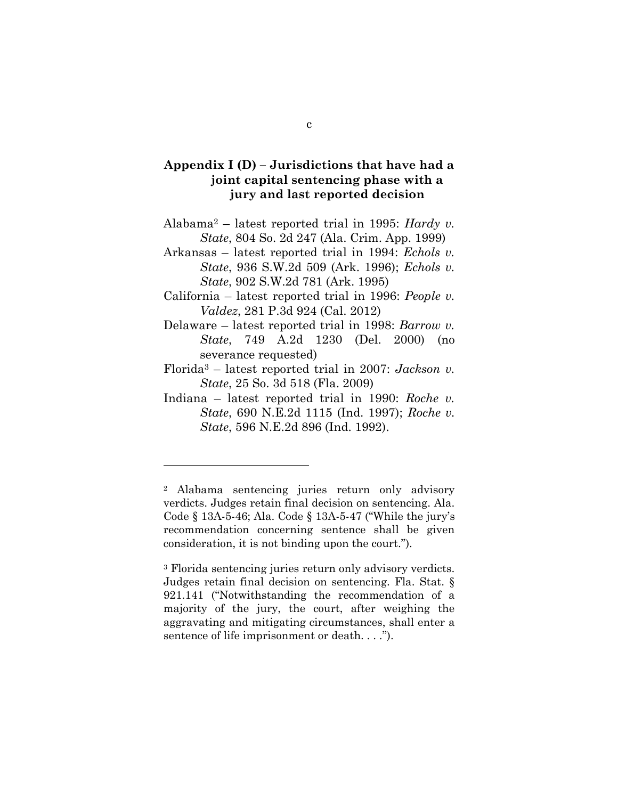#### **Appendix I (D) – Jurisdictions that have had a joint capital sentencing phase with a jury and last reported decision**

- Alabama<sup>2</sup> latest reported trial in 1995: *Hardy v. State*, 804 So. 2d 247 (Ala. Crim. App. 1999)
- Arkansas latest reported trial in 1994: *Echols v. State*, 936 S.W.2d 509 (Ark. 1996); *Echols v. State*, 902 S.W.2d 781 (Ark. 1995)
- California latest reported trial in 1996: *People v. Valdez*, 281 P.3d 924 (Cal. 2012)
- Delaware latest reported trial in 1998: *Barrow v. State*, 749 A.2d 1230 (Del. 2000) (no severance requested)
- Florida<sup>3</sup> latest reported trial in 2007: *Jackson v. State*, 25 So. 3d 518 (Fla. 2009)
- Indiana latest reported trial in 1990: *Roche v. State*, 690 N.E.2d 1115 (Ind. 1997); *Roche v. State*, 596 N.E.2d 896 (Ind. 1992).

l

<sup>2</sup> Alabama sentencing juries return only advisory verdicts. Judges retain final decision on sentencing. Ala. Code § 13A-5-46; Ala. Code § 13A-5-47 ("While the jury's recommendation concerning sentence shall be given consideration, it is not binding upon the court.").

<sup>3</sup> Florida sentencing juries return only advisory verdicts. Judges retain final decision on sentencing. Fla. Stat. § 921.141 ("Notwithstanding the recommendation of a majority of the jury, the court, after weighing the aggravating and mitigating circumstances, shall enter a sentence of life imprisonment or death. . . .").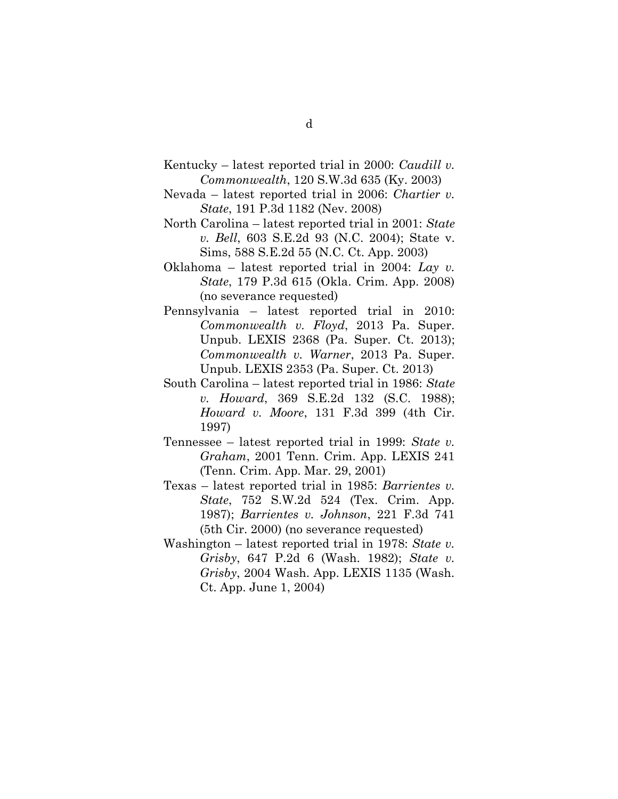- Kentucky latest reported trial in 2000: *Caudill v. Commonwealth*, 120 S.W.3d 635 (Ky. 2003)
- Nevada latest reported trial in 2006: *Chartier v. State*, 191 P.3d 1182 (Nev. 2008)
- North Carolina latest reported trial in 2001: *State v. Bell*, 603 S.E.2d 93 (N.C. 2004); State v. Sims, 588 S.E.2d 55 (N.C. Ct. App. 2003)
- Oklahoma latest reported trial in 2004: *Lay v. State*, 179 P.3d 615 (Okla. Crim. App. 2008) (no severance requested)
- Pennsylvania latest reported trial in 2010: *Commonwealth v. Floyd*, 2013 Pa. Super. Unpub. LEXIS 2368 (Pa. Super. Ct. 2013); *Commonwealth v. Warner*, 2013 Pa. Super. Unpub. LEXIS 2353 (Pa. Super. Ct. 2013)
- South Carolina latest reported trial in 1986: *State v. Howard*, 369 S.E.2d 132 (S.C. 1988); *Howard v. Moore*, 131 F.3d 399 (4th Cir. 1997)
- Tennessee latest reported trial in 1999: *State v. Graham*, 2001 Tenn. Crim. App. LEXIS 241 (Tenn. Crim. App. Mar. 29, 2001)
- Texas latest reported trial in 1985: *Barrientes v. State*, 752 S.W.2d 524 (Tex. Crim. App. 1987); *Barrientes v. Johnson*, 221 F.3d 741 (5th Cir. 2000) (no severance requested)
- Washington latest reported trial in 1978: *State v. Grisby*, 647 P.2d 6 (Wash. 1982); *State v. Grisby*, 2004 Wash. App. LEXIS 1135 (Wash. Ct. App. June 1, 2004)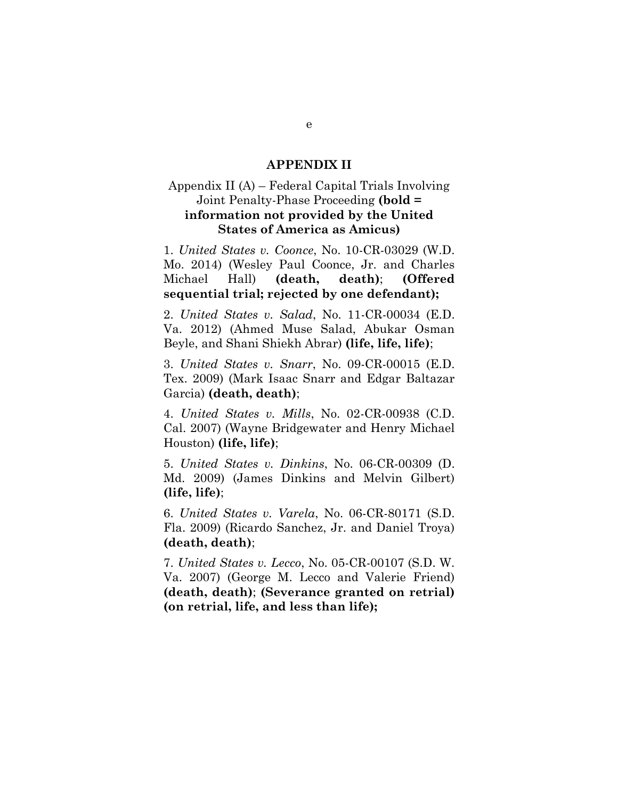#### **APPENDIX II**

#### <span id="page-35-0"></span>Appendix II (A) – Federal Capital Trials Involving Joint Penalty-Phase Proceeding **(bold = information not provided by the United States of America as Amicus)**

1. *United States v. Coonce*, No. 10-CR-03029 (W.D. Mo. 2014) (Wesley Paul Coonce, Jr. and Charles Michael Hall) **(death, death)**; **(Offered sequential trial; rejected by one defendant);**

2. *United States v. Salad*, No. 11-CR-00034 (E.D. Va. 2012) (Ahmed Muse Salad, Abukar Osman Beyle, and Shani Shiekh Abrar) **(life, life, life)**;

3. *United States v. Snarr*, No. 09-CR-00015 (E.D. Tex. 2009) (Mark Isaac Snarr and Edgar Baltazar Garcia) **(death, death)**;

4. *United States v. Mills*, No. 02-CR-00938 (C.D. Cal. 2007) (Wayne Bridgewater and Henry Michael Houston) **(life, life)**;

5. *United States v. Dinkins*, No. 06-CR-00309 (D. Md. 2009) (James Dinkins and Melvin Gilbert) **(life, life)**;

6. *United States v. Varela*, No. 06-CR-80171 (S.D. Fla. 2009) (Ricardo Sanchez, Jr. and Daniel Troya) **(death, death)**;

7. *United States v. Lecco*, No. 05-CR-00107 (S.D. W. Va. 2007) (George M. Lecco and Valerie Friend) **(death, death)**; **(Severance granted on retrial) (on retrial, life, and less than life);**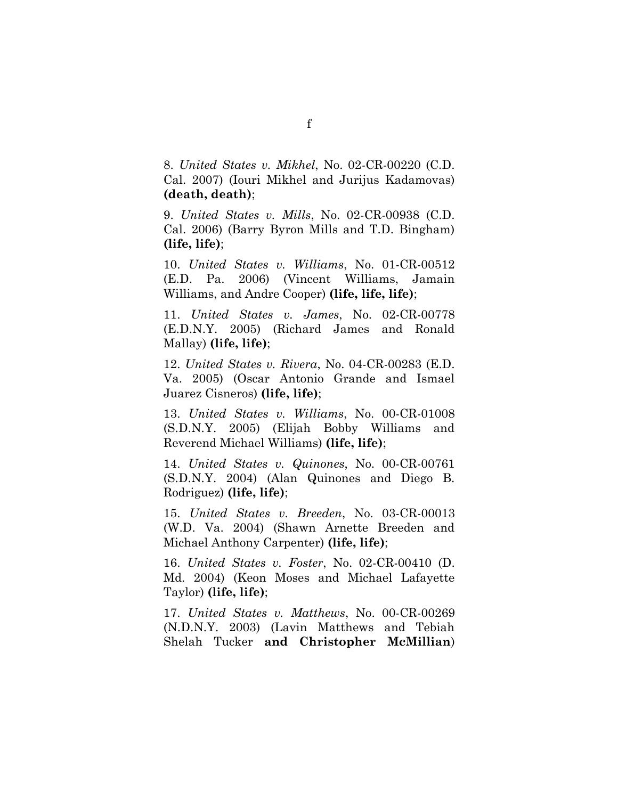8. *United States v. Mikhel*, No. 02-CR-00220 (C.D. Cal. 2007) (Iouri Mikhel and Jurijus Kadamovas) **(death, death)**;

9. *United States v. Mills*, No. 02-CR-00938 (C.D. Cal. 2006) (Barry Byron Mills and T.D. Bingham) **(life, life)**;

10. *United States v. Williams*, No. 01-CR-00512 (E.D. Pa. 2006) (Vincent Williams, Jamain Williams, and Andre Cooper) **(life, life, life)**;

11. *United States v. James*, No. 02-CR-00778 (E.D.N.Y. 2005) (Richard James and Ronald Mallay) **(life, life)**;

12. *United States v. Rivera*, No. 04-CR-00283 (E.D. Va. 2005) (Oscar Antonio Grande and Ismael Juarez Cisneros) **(life, life)**;

13. *United States v. Williams*, No. 00-CR-01008 (S.D.N.Y. 2005) (Elijah Bobby Williams and Reverend Michael Williams) **(life, life)**;

14. *United States v. Quinones*, No. 00-CR-00761 (S.D.N.Y. 2004) (Alan Quinones and Diego B. Rodriguez) **(life, life)**;

15. *United States v. Breeden*, No. 03-CR-00013 (W.D. Va. 2004) (Shawn Arnette Breeden and Michael Anthony Carpenter) **(life, life)**;

16. *United States v. Foster*, No. 02-CR-00410 (D. Md. 2004) (Keon Moses and Michael Lafayette Taylor) **(life, life)**;

17. *United States v. Matthews*, No. 00-CR-00269 (N.D.N.Y. 2003) (Lavin Matthews and Tebiah Shelah Tucker **and Christopher McMillian**)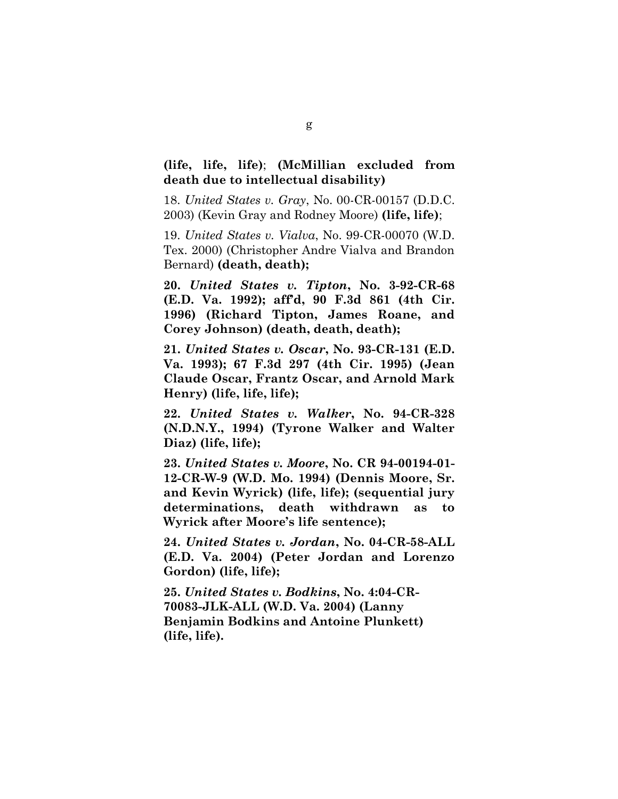#### **(life, life, life)**; **(McMillian excluded from death due to intellectual disability)**

18. *United States v. Gray*, No. 00-CR-00157 (D.D.C. 2003) (Kevin Gray and Rodney Moore) **(life, life)**;

19. *United States v. Vialva*, No. 99-CR-00070 (W.D. Tex. 2000) (Christopher Andre Vialva and Brandon Bernard) **(death, death);** 

**20.** *United States v. Tipton***, No. 3-92-CR-68 (E.D. Va. 1992); aff'd, 90 F.3d 861 (4th Cir. 1996) (Richard Tipton, James Roane, and Corey Johnson) (death, death, death);**

**21.** *United States v. Oscar***, No. 93-CR-131 (E.D. Va. 1993); 67 F.3d 297 (4th Cir. 1995) (Jean Claude Oscar, Frantz Oscar, and Arnold Mark Henry) (life, life, life);**

**22.** *United States v. Walker***, No. 94-CR-328 (N.D.N.Y., 1994) (Tyrone Walker and Walter Diaz) (life, life);**

**23.** *United States v. Moore***, No. CR 94-00194-01- 12-CR-W-9 (W.D. Mo. 1994) (Dennis Moore, Sr. and Kevin Wyrick) (life, life); (sequential jury determinations, death withdrawn as to Wyrick after Moore's life sentence);**

**24.** *United States v. Jordan***, No. 04-CR-58-ALL (E.D. Va. 2004) (Peter Jordan and Lorenzo Gordon) (life, life);**

**25.** *United States v. Bodkins***, No. 4:04-CR-70083-JLK-ALL (W.D. Va. 2004) (Lanny Benjamin Bodkins and Antoine Plunkett) (life, life).**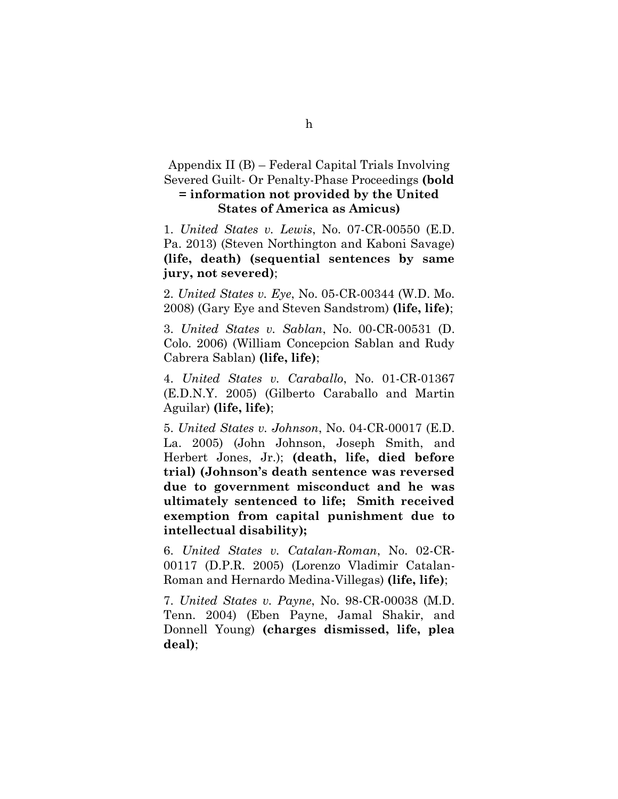Appendix II (B) – Federal Capital Trials Involving Severed Guilt- Or Penalty-Phase Proceedings **(bold = information not provided by the United States of America as Amicus)**

1. *United States v. Lewis*, No. 07-CR-00550 (E.D. Pa. 2013) (Steven Northington and Kaboni Savage) **(life, death) (sequential sentences by same jury, not severed)**;

2. *United States v. Eye*, No. 05-CR-00344 (W.D. Mo. 2008) (Gary Eye and Steven Sandstrom) **(life, life)**;

3. *United States v. Sablan*, No. 00-CR-00531 (D. Colo. 2006) (William Concepcion Sablan and Rudy Cabrera Sablan) **(life, life)**;

4. *United States v. Caraballo*, No. 01-CR-01367 (E.D.N.Y. 2005) (Gilberto Caraballo and Martin Aguilar) **(life, life)**;

5. *United States v. Johnson*, No. 04-CR-00017 (E.D. La. 2005) (John Johnson, Joseph Smith, and Herbert Jones, Jr.); **(death, life, died before trial) (Johnson's death sentence was reversed due to government misconduct and he was ultimately sentenced to life; Smith received exemption from capital punishment due to intellectual disability);** 

6. *United States v. Catalan-Roman*, No. 02-CR-00117 (D.P.R. 2005) (Lorenzo Vladimir Catalan-Roman and Hernardo Medina-Villegas) **(life, life)**;

7. *United States v. Payne*, No. 98-CR-00038 (M.D. Tenn. 2004) (Eben Payne, Jamal Shakir, and Donnell Young) **(charges dismissed, life, plea deal)**;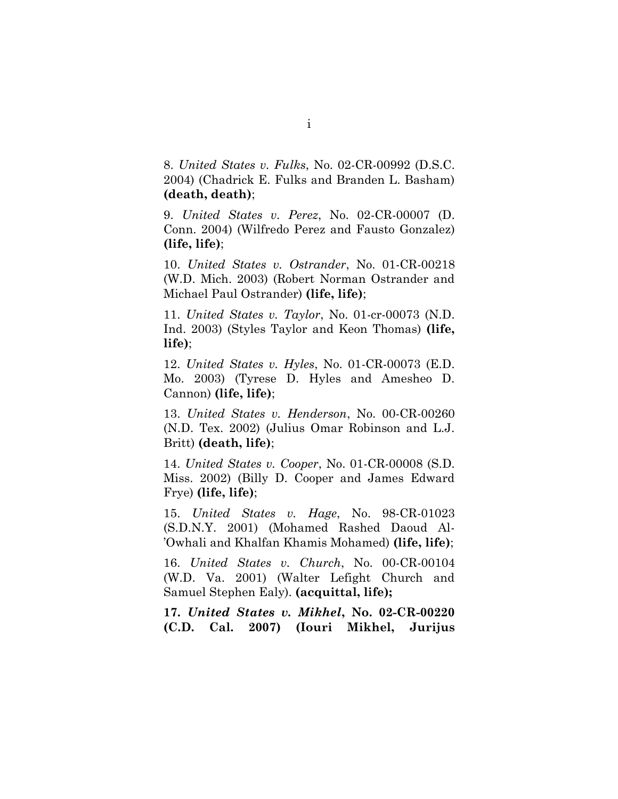8. *United States v. Fulks*, No. 02-CR-00992 (D.S.C. 2004) (Chadrick E. Fulks and Branden L. Basham) **(death, death)**;

9. *United States v. Perez*, No. 02-CR-00007 (D. Conn. 2004) (Wilfredo Perez and Fausto Gonzalez) **(life, life)**;

10. *United States v. Ostrander*, No. 01-CR-00218 (W.D. Mich. 2003) (Robert Norman Ostrander and Michael Paul Ostrander) **(life, life)**;

11. *United States v. Taylor*, No. 01-cr-00073 (N.D. Ind. 2003) (Styles Taylor and Keon Thomas) **(life, life)**;

12. *United States v. Hyles*, No. 01-CR-00073 (E.D. Mo. 2003) (Tyrese D. Hyles and Amesheo D. Cannon) **(life, life)**;

13. *United States v. Henderson*, No. 00-CR-00260 (N.D. Tex. 2002) (Julius Omar Robinson and L.J. Britt) **(death, life)**;

14. *United States v. Cooper*, No. 01-CR-00008 (S.D. Miss. 2002) (Billy D. Cooper and James Edward Frye) **(life, life)**;

15. *United States v. Hage*, No. 98-CR-01023 (S.D.N.Y. 2001) (Mohamed Rashed Daoud Al- 'Owhali and Khalfan Khamis Mohamed) **(life, life)**;

16. *United States v. Church*, No. 00-CR-00104 (W.D. Va. 2001) (Walter Lefight Church and Samuel Stephen Ealy). **(acquittal, life);**

**17.** *United States v. Mikhel***, No. 02-CR-00220 (C.D. Cal. 2007) (Iouri Mikhel, Jurijus**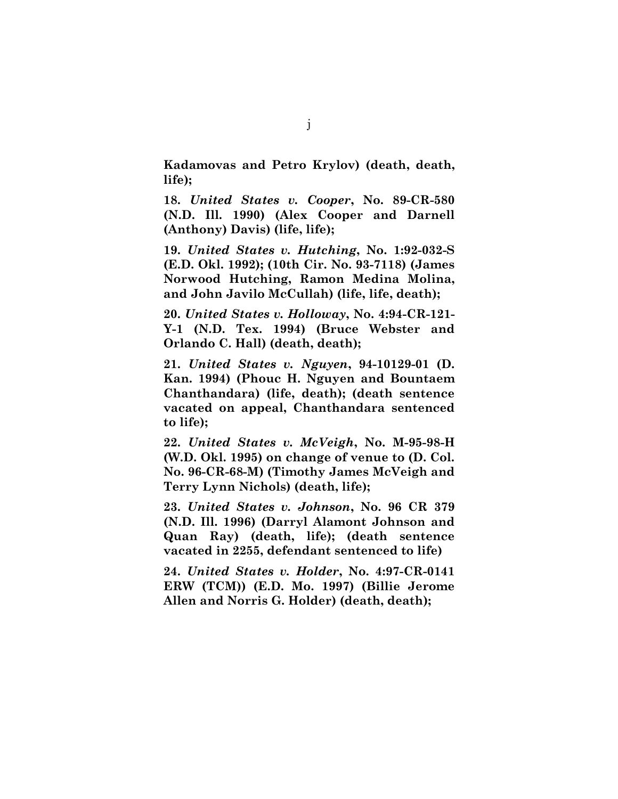**Kadamovas and Petro Krylov) (death, death, life);**

**18.** *United States v. Cooper***, No. 89-CR-580 (N.D. Ill. 1990) (Alex Cooper and Darnell (Anthony) Davis) (life, life);**

**19.** *United States v. Hutching***, No. 1:92-032-S (E.D. Okl. 1992); (10th Cir. No. 93-7118) (James Norwood Hutching, Ramon Medina Molina, and John Javilo McCullah) (life, life, death);**

**20.** *United States v. Holloway***, No. 4:94-CR-121- Y-1 (N.D. Tex. 1994) (Bruce Webster and Orlando C. Hall) (death, death);**

**21.** *United States v. Nguyen***, 94-10129-01 (D. Kan. 1994) (Phouc H. Nguyen and Bountaem Chanthandara) (life, death); (death sentence vacated on appeal, Chanthandara sentenced to life);**

**22.** *United States v. McVeigh***, No. M-95-98-H (W.D. Okl. 1995) on change of venue to (D. Col. No. 96-CR-68-M) (Timothy James McVeigh and Terry Lynn Nichols) (death, life);**

**23.** *United States v. Johnson***, No. 96 CR 379 (N.D. Ill. 1996) (Darryl Alamont Johnson and Quan Ray) (death, life); (death sentence vacated in 2255, defendant sentenced to life)**

**24.** *United States v. Holder***, No. 4:97-CR-0141 ERW (TCM)) (E.D. Mo. 1997) (Billie Jerome Allen and Norris G. Holder) (death, death);**